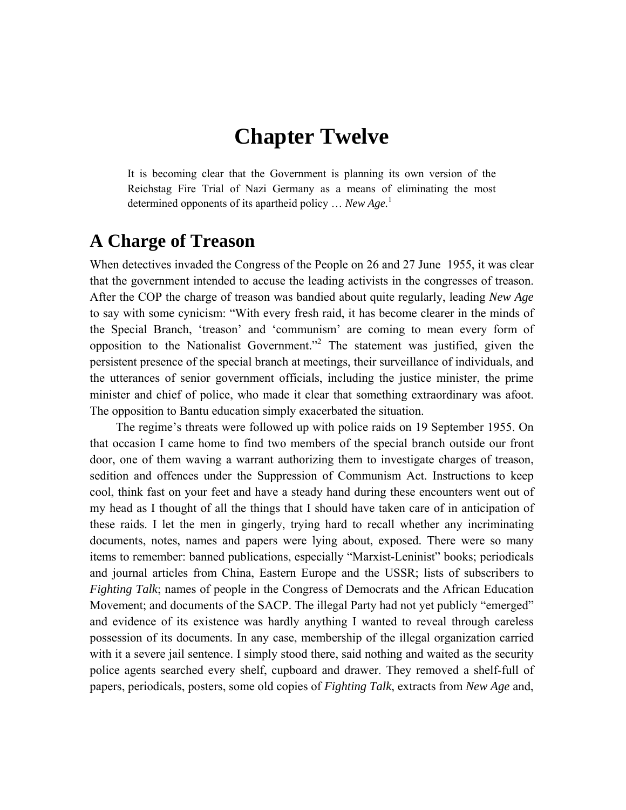# **Chapter Twelve**

It is becoming clear that the Government is planning its own version of the Reichstag Fire Trial of Nazi Germany as a means of eliminating the most determined opponents of its apartheid policy … *New Age.*<sup>1</sup>

# **A Charge of Treason**

When detectives invaded the Congress of the People on 26 and 27 June 1955, it was clear that the government intended to accuse the leading activists in the congresses of treason. After the COP the charge of treason was bandied about quite regularly, leading *New Age* to say with some cynicism: "With every fresh raid, it has become clearer in the minds of the Special Branch, 'treason' and 'communism' are coming to mean every form of opposition to the Nationalist Government."<sup>2</sup> The statement was justified, given the persistent presence of the special branch at meetings, their surveillance of individuals, and the utterances of senior government officials, including the justice minister, the prime minister and chief of police, who made it clear that something extraordinary was afoot. The opposition to Bantu education simply exacerbated the situation.

The regime's threats were followed up with police raids on 19 September 1955. On that occasion I came home to find two members of the special branch outside our front door, one of them waving a warrant authorizing them to investigate charges of treason, sedition and offences under the Suppression of Communism Act. Instructions to keep cool, think fast on your feet and have a steady hand during these encounters went out of my head as I thought of all the things that I should have taken care of in anticipation of these raids. I let the men in gingerly, trying hard to recall whether any incriminating documents, notes, names and papers were lying about, exposed. There were so many items to remember: banned publications, especially "Marxist-Leninist" books; periodicals and journal articles from China, Eastern Europe and the USSR; lists of subscribers to *Fighting Talk*; names of people in the Congress of Democrats and the African Education Movement; and documents of the SACP. The illegal Party had not yet publicly "emerged" and evidence of its existence was hardly anything I wanted to reveal through careless possession of its documents. In any case, membership of the illegal organization carried with it a severe jail sentence. I simply stood there, said nothing and waited as the security police agents searched every shelf, cupboard and drawer. They removed a shelf-full of papers, periodicals, posters, some old copies of *Fighting Talk*, extracts from *New Age* and,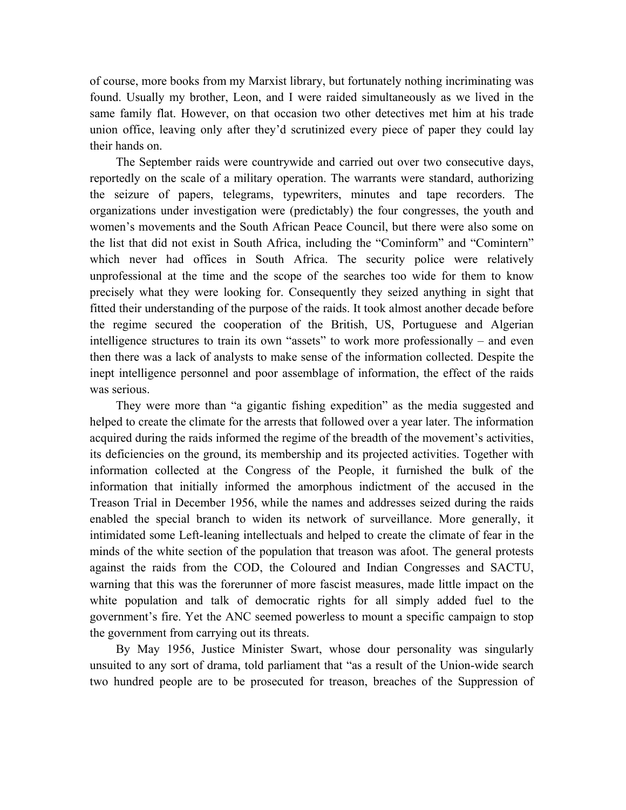of course, more books from my Marxist library, but fortunately nothing incriminating was found. Usually my brother, Leon, and I were raided simultaneously as we lived in the same family flat. However, on that occasion two other detectives met him at his trade union office, leaving only after they'd scrutinized every piece of paper they could lay their hands on.

The September raids were countrywide and carried out over two consecutive days, reportedly on the scale of a military operation. The warrants were standard, authorizing the seizure of papers, telegrams, typewriters, minutes and tape recorders. The organizations under investigation were (predictably) the four congresses, the youth and women's movements and the South African Peace Council, but there were also some on the list that did not exist in South Africa, including the "Cominform" and "Comintern" which never had offices in South Africa. The security police were relatively unprofessional at the time and the scope of the searches too wide for them to know precisely what they were looking for. Consequently they seized anything in sight that fitted their understanding of the purpose of the raids. It took almost another decade before the regime secured the cooperation of the British, US, Portuguese and Algerian intelligence structures to train its own "assets" to work more professionally – and even then there was a lack of analysts to make sense of the information collected. Despite the inept intelligence personnel and poor assemblage of information, the effect of the raids was serious.

They were more than "a gigantic fishing expedition" as the media suggested and helped to create the climate for the arrests that followed over a year later. The information acquired during the raids informed the regime of the breadth of the movement's activities, its deficiencies on the ground, its membership and its projected activities. Together with information collected at the Congress of the People, it furnished the bulk of the information that initially informed the amorphous indictment of the accused in the Treason Trial in December 1956, while the names and addresses seized during the raids enabled the special branch to widen its network of surveillance. More generally, it intimidated some Left-leaning intellectuals and helped to create the climate of fear in the minds of the white section of the population that treason was afoot. The general protests against the raids from the COD, the Coloured and Indian Congresses and SACTU, warning that this was the forerunner of more fascist measures, made little impact on the white population and talk of democratic rights for all simply added fuel to the government's fire. Yet the ANC seemed powerless to mount a specific campaign to stop the government from carrying out its threats.

By May 1956, Justice Minister Swart, whose dour personality was singularly unsuited to any sort of drama, told parliament that "as a result of the Union-wide search two hundred people are to be prosecuted for treason, breaches of the Suppression of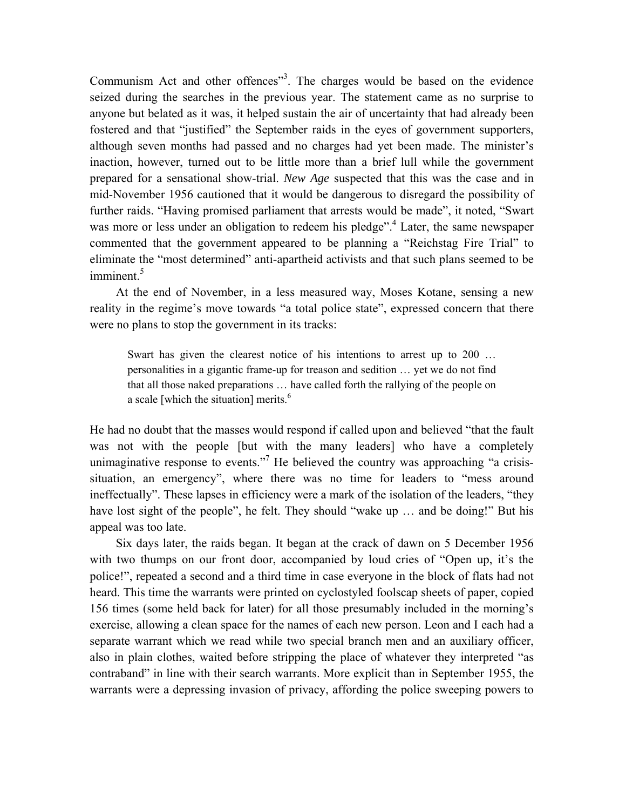Communism Act and other offences<sup>33</sup>. The charges would be based on the evidence seized during the searches in the previous year. The statement came as no surprise to anyone but belated as it was, it helped sustain the air of uncertainty that had already been fostered and that "justified" the September raids in the eyes of government supporters, although seven months had passed and no charges had yet been made. The minister's inaction, however, turned out to be little more than a brief lull while the government prepared for a sensational show-trial. *New Age* suspected that this was the case and in mid-November 1956 cautioned that it would be dangerous to disregard the possibility of further raids. "Having promised parliament that arrests would be made", it noted, "Swart was more or less under an obligation to redeem his pledge".<sup>4</sup> Later, the same newspaper commented that the government appeared to be planning a "Reichstag Fire Trial" to eliminate the "most determined" anti-apartheid activists and that such plans seemed to be imminent.<sup>5</sup>

At the end of November, in a less measured way, Moses Kotane, sensing a new reality in the regime's move towards "a total police state", expressed concern that there were no plans to stop the government in its tracks:

Swart has given the clearest notice of his intentions to arrest up to 200 ... personalities in a gigantic frame-up for treason and sedition … yet we do not find that all those naked preparations … have called forth the rallying of the people on a scale [which the situation] merits. $6$ 

He had no doubt that the masses would respond if called upon and believed "that the fault was not with the people [but with the many leaders] who have a completely unimaginative response to events."<sup>7</sup> He believed the country was approaching "a crisissituation, an emergency", where there was no time for leaders to "mess around ineffectually". These lapses in efficiency were a mark of the isolation of the leaders, "they have lost sight of the people", he felt. They should "wake up ... and be doing!" But his appeal was too late.

Six days later, the raids began. It began at the crack of dawn on 5 December 1956 with two thumps on our front door, accompanied by loud cries of "Open up, it's the police!", repeated a second and a third time in case everyone in the block of flats had not heard. This time the warrants were printed on cyclostyled foolscap sheets of paper, copied 156 times (some held back for later) for all those presumably included in the morning's exercise, allowing a clean space for the names of each new person. Leon and I each had a separate warrant which we read while two special branch men and an auxiliary officer, also in plain clothes, waited before stripping the place of whatever they interpreted "as contraband" in line with their search warrants. More explicit than in September 1955, the warrants were a depressing invasion of privacy, affording the police sweeping powers to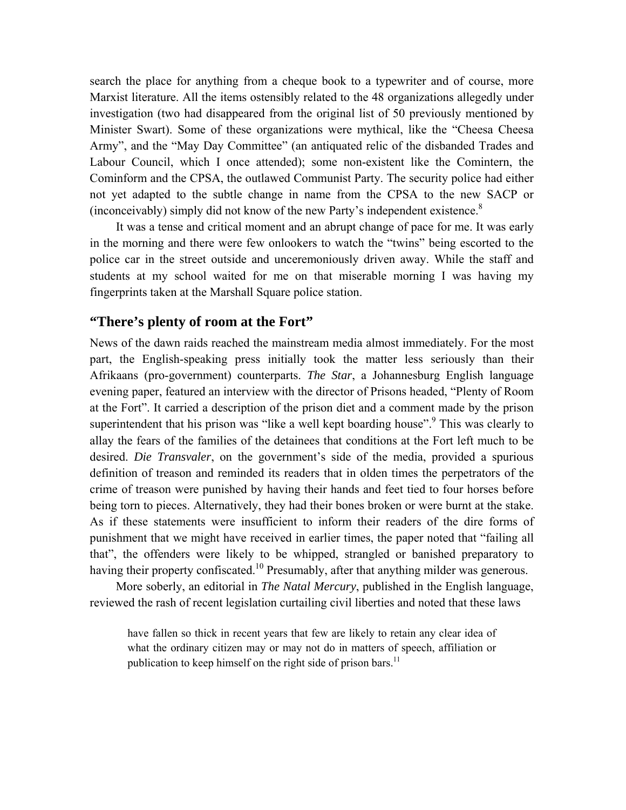search the place for anything from a cheque book to a typewriter and of course, more Marxist literature. All the items ostensibly related to the 48 organizations allegedly under investigation (two had disappeared from the original list of 50 previously mentioned by Minister Swart). Some of these organizations were mythical, like the "Cheesa Cheesa Army", and the "May Day Committee" (an antiquated relic of the disbanded Trades and Labour Council, which I once attended); some non-existent like the Comintern, the Cominform and the CPSA, the outlawed Communist Party. The security police had either not yet adapted to the subtle change in name from the CPSA to the new SACP or (inconceivably) simply did not know of the new Party's independent existence.<sup>8</sup>

It was a tense and critical moment and an abrupt change of pace for me. It was early in the morning and there were few onlookers to watch the "twins" being escorted to the police car in the street outside and unceremoniously driven away. While the staff and students at my school waited for me on that miserable morning I was having my fingerprints taken at the Marshall Square police station.

## **"There's plenty of room at the Fort"**

News of the dawn raids reached the mainstream media almost immediately. For the most part, the English-speaking press initially took the matter less seriously than their Afrikaans (pro-government) counterparts. *The Star*, a Johannesburg English language evening paper, featured an interview with the director of Prisons headed, "Plenty of Room at the Fort". It carried a description of the prison diet and a comment made by the prison superintendent that his prison was "like a well kept boarding house".<sup>9</sup> This was clearly to allay the fears of the families of the detainees that conditions at the Fort left much to be desired. *Die Transvaler*, on the government's side of the media, provided a spurious definition of treason and reminded its readers that in olden times the perpetrators of the crime of treason were punished by having their hands and feet tied to four horses before being torn to pieces. Alternatively, they had their bones broken or were burnt at the stake. As if these statements were insufficient to inform their readers of the dire forms of punishment that we might have received in earlier times, the paper noted that "failing all that", the offenders were likely to be whipped, strangled or banished preparatory to having their property confiscated.<sup>10</sup> Presumably, after that anything milder was generous.

More soberly, an editorial in *The Natal Mercury*, published in the English language, reviewed the rash of recent legislation curtailing civil liberties and noted that these laws

have fallen so thick in recent years that few are likely to retain any clear idea of what the ordinary citizen may or may not do in matters of speech, affiliation or publication to keep himself on the right side of prison bars.<sup>11</sup>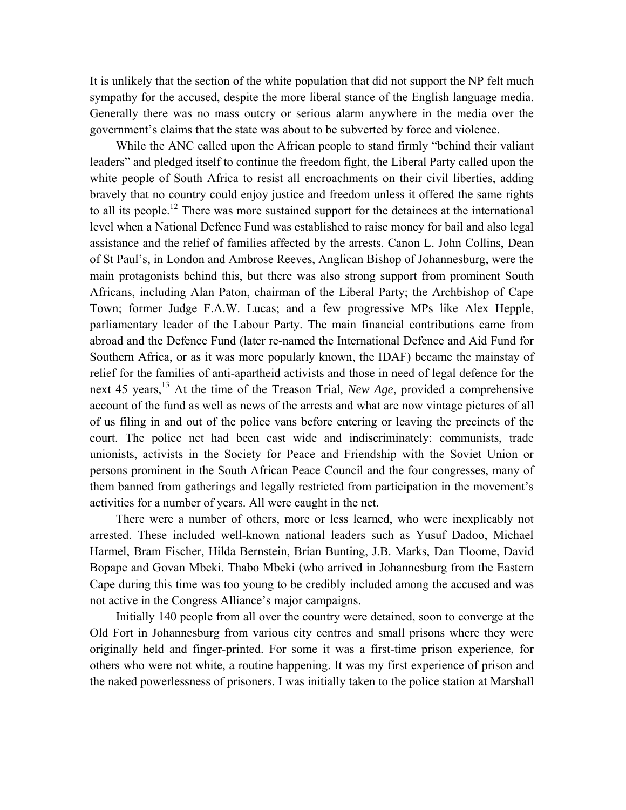It is unlikely that the section of the white population that did not support the NP felt much sympathy for the accused, despite the more liberal stance of the English language media. Generally there was no mass outcry or serious alarm anywhere in the media over the government's claims that the state was about to be subverted by force and violence.

While the ANC called upon the African people to stand firmly "behind their valiant leaders" and pledged itself to continue the freedom fight, the Liberal Party called upon the white people of South Africa to resist all encroachments on their civil liberties, adding bravely that no country could enjoy justice and freedom unless it offered the same rights to all its people.<sup>12</sup> There was more sustained support for the detainees at the international level when a National Defence Fund was established to raise money for bail and also legal assistance and the relief of families affected by the arrests. Canon L. John Collins, Dean of St Paul's, in London and Ambrose Reeves, Anglican Bishop of Johannesburg, were the main protagonists behind this, but there was also strong support from prominent South Africans, including Alan Paton, chairman of the Liberal Party; the Archbishop of Cape Town; former Judge F.A.W. Lucas; and a few progressive MPs like Alex Hepple, parliamentary leader of the Labour Party. The main financial contributions came from abroad and the Defence Fund (later re-named the International Defence and Aid Fund for Southern Africa, or as it was more popularly known, the IDAF) became the mainstay of relief for the families of anti-apartheid activists and those in need of legal defence for the next 45 years,<sup>13</sup> At the time of the Treason Trial, *New Age*, provided a comprehensive account of the fund as well as news of the arrests and what are now vintage pictures of all of us filing in and out of the police vans before entering or leaving the precincts of the court. The police net had been cast wide and indiscriminately: communists, trade unionists, activists in the Society for Peace and Friendship with the Soviet Union or persons prominent in the South African Peace Council and the four congresses, many of them banned from gatherings and legally restricted from participation in the movement's activities for a number of years. All were caught in the net.

There were a number of others, more or less learned, who were inexplicably not arrested. These included well-known national leaders such as Yusuf Dadoo, Michael Harmel, Bram Fischer, Hilda Bernstein, Brian Bunting, J.B. Marks, Dan Tloome, David Bopape and Govan Mbeki. Thabo Mbeki (who arrived in Johannesburg from the Eastern Cape during this time was too young to be credibly included among the accused and was not active in the Congress Alliance's major campaigns.

Initially 140 people from all over the country were detained, soon to converge at the Old Fort in Johannesburg from various city centres and small prisons where they were originally held and finger-printed. For some it was a first-time prison experience, for others who were not white, a routine happening. It was my first experience of prison and the naked powerlessness of prisoners. I was initially taken to the police station at Marshall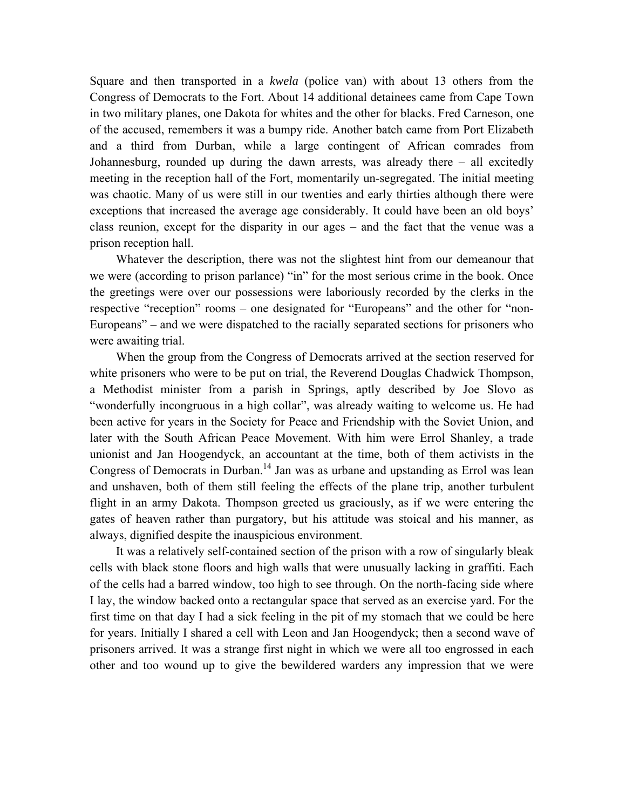Square and then transported in a *kwela* (police van) with about 13 others from the Congress of Democrats to the Fort. About 14 additional detainees came from Cape Town in two military planes, one Dakota for whites and the other for blacks. Fred Carneson, one of the accused, remembers it was a bumpy ride. Another batch came from Port Elizabeth and a third from Durban, while a large contingent of African comrades from Johannesburg, rounded up during the dawn arrests, was already there – all excitedly meeting in the reception hall of the Fort, momentarily un-segregated. The initial meeting was chaotic. Many of us were still in our twenties and early thirties although there were exceptions that increased the average age considerably. It could have been an old boys' class reunion, except for the disparity in our ages – and the fact that the venue was a prison reception hall.

Whatever the description, there was not the slightest hint from our demeanour that we were (according to prison parlance) "in" for the most serious crime in the book. Once the greetings were over our possessions were laboriously recorded by the clerks in the respective "reception" rooms – one designated for "Europeans" and the other for "non-Europeans" – and we were dispatched to the racially separated sections for prisoners who were awaiting trial.

When the group from the Congress of Democrats arrived at the section reserved for white prisoners who were to be put on trial, the Reverend Douglas Chadwick Thompson, a Methodist minister from a parish in Springs, aptly described by Joe Slovo as "wonderfully incongruous in a high collar", was already waiting to welcome us. He had been active for years in the Society for Peace and Friendship with the Soviet Union, and later with the South African Peace Movement. With him were Errol Shanley, a trade unionist and Jan Hoogendyck, an accountant at the time, both of them activists in the Congress of Democrats in Durban.<sup>14</sup> Jan was as urbane and upstanding as Errol was lean and unshaven, both of them still feeling the effects of the plane trip, another turbulent flight in an army Dakota. Thompson greeted us graciously, as if we were entering the gates of heaven rather than purgatory, but his attitude was stoical and his manner, as always, dignified despite the inauspicious environment.

It was a relatively self-contained section of the prison with a row of singularly bleak cells with black stone floors and high walls that were unusually lacking in graffiti. Each of the cells had a barred window, too high to see through. On the north-facing side where I lay, the window backed onto a rectangular space that served as an exercise yard. For the first time on that day I had a sick feeling in the pit of my stomach that we could be here for years. Initially I shared a cell with Leon and Jan Hoogendyck; then a second wave of prisoners arrived. It was a strange first night in which we were all too engrossed in each other and too wound up to give the bewildered warders any impression that we were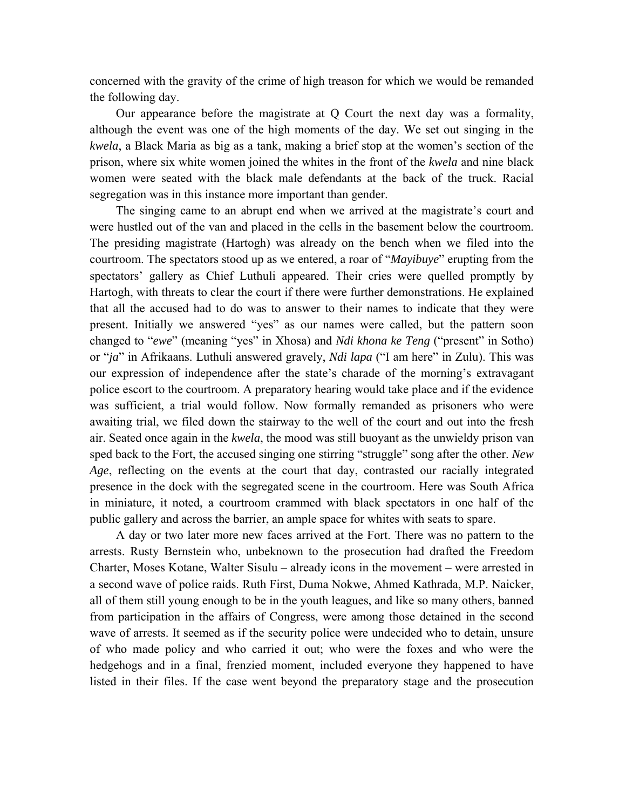concerned with the gravity of the crime of high treason for which we would be remanded the following day.

Our appearance before the magistrate at Q Court the next day was a formality, although the event was one of the high moments of the day. We set out singing in the *kwela*, a Black Maria as big as a tank, making a brief stop at the women's section of the prison, where six white women joined the whites in the front of the *kwela* and nine black women were seated with the black male defendants at the back of the truck. Racial segregation was in this instance more important than gender.

The singing came to an abrupt end when we arrived at the magistrate's court and were hustled out of the van and placed in the cells in the basement below the courtroom. The presiding magistrate (Hartogh) was already on the bench when we filed into the courtroom. The spectators stood up as we entered, a roar of "*Mayibuye*" erupting from the spectators' gallery as Chief Luthuli appeared. Their cries were quelled promptly by Hartogh, with threats to clear the court if there were further demonstrations. He explained that all the accused had to do was to answer to their names to indicate that they were present. Initially we answered "yes" as our names were called, but the pattern soon changed to "*ewe*" (meaning "yes" in Xhosa) and *Ndi khona ke Teng* ("present" in Sotho) or "*ja*" in Afrikaans. Luthuli answered gravely, *Ndi lapa* ("I am here" in Zulu). This was our expression of independence after the state's charade of the morning's extravagant police escort to the courtroom. A preparatory hearing would take place and if the evidence was sufficient, a trial would follow. Now formally remanded as prisoners who were awaiting trial, we filed down the stairway to the well of the court and out into the fresh air. Seated once again in the *kwela*, the mood was still buoyant as the unwieldy prison van sped back to the Fort, the accused singing one stirring "struggle" song after the other. *New Age*, reflecting on the events at the court that day, contrasted our racially integrated presence in the dock with the segregated scene in the courtroom. Here was South Africa in miniature, it noted, a courtroom crammed with black spectators in one half of the public gallery and across the barrier, an ample space for whites with seats to spare.

A day or two later more new faces arrived at the Fort. There was no pattern to the arrests. Rusty Bernstein who, unbeknown to the prosecution had drafted the Freedom Charter, Moses Kotane, Walter Sisulu – already icons in the movement – were arrested in a second wave of police raids. Ruth First, Duma Nokwe, Ahmed Kathrada, M.P. Naicker, all of them still young enough to be in the youth leagues, and like so many others, banned from participation in the affairs of Congress, were among those detained in the second wave of arrests. It seemed as if the security police were undecided who to detain, unsure of who made policy and who carried it out; who were the foxes and who were the hedgehogs and in a final, frenzied moment, included everyone they happened to have listed in their files. If the case went beyond the preparatory stage and the prosecution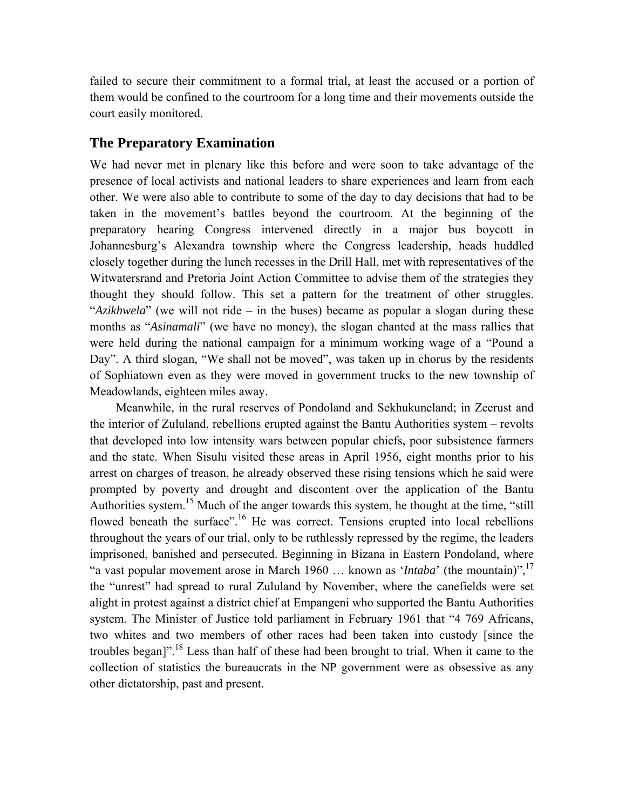failed to secure their commitment to a formal trial, at least the accused or a portion of them would be confined to the courtroom for a long time and their movements outside the court easily monitored.

## **The Preparatory Examination**

We had never met in plenary like this before and were soon to take advantage of the presence of local activists and national leaders to share experiences and learn from each other. We were also able to contribute to some of the day to day decisions that had to be taken in the movement's battles beyond the courtroom. At the beginning of the preparatory hearing Congress intervened directly in a major bus boycott in Johannesburg's Alexandra township where the Congress leadership, heads huddled closely together during the lunch recesses in the Drill Hall, met with representatives of the Witwatersrand and Pretoria Joint Action Committee to advise them of the strategies they thought they should follow. This set a pattern for the treatment of other struggles. "*Azikhwela*" (we will not ride – in the buses) became as popular a slogan during these months as "*Asinamali*" (we have no money), the slogan chanted at the mass rallies that were held during the national campaign for a minimum working wage of a "Pound a Day". A third slogan, "We shall not be moved", was taken up in chorus by the residents of Sophiatown even as they were moved in government trucks to the new township of Meadowlands, eighteen miles away.

Meanwhile, in the rural reserves of Pondoland and Sekhukuneland; in Zeerust and the interior of Zululand, rebellions erupted against the Bantu Authorities system – revolts that developed into low intensity wars between popular chiefs, poor subsistence farmers and the state. When Sisulu visited these areas in April 1956, eight months prior to his arrest on charges of treason, he already observed these rising tensions which he said were prompted by poverty and drought and discontent over the application of the Bantu Authorities system.15 Much of the anger towards this system, he thought at the time, "still flowed beneath the surface".<sup>16</sup> He was correct. Tensions erupted into local rebellions throughout the years of our trial, only to be ruthlessly repressed by the regime, the leaders imprisoned, banished and persecuted. Beginning in Bizana in Eastern Pondoland, where "a vast popular movement arose in March 1960 ... known as '*Intaba*' (the mountain)",<sup>17</sup> the "unrest" had spread to rural Zululand by November, where the canefields were set alight in protest against a district chief at Empangeni who supported the Bantu Authorities system. The Minister of Justice told parliament in February 1961 that "4 769 Africans, two whites and two members of other races had been taken into custody [since the troubles began]".18 Less than half of these had been brought to trial. When it came to the collection of statistics the bureaucrats in the NP government were as obsessive as any other dictatorship, past and present.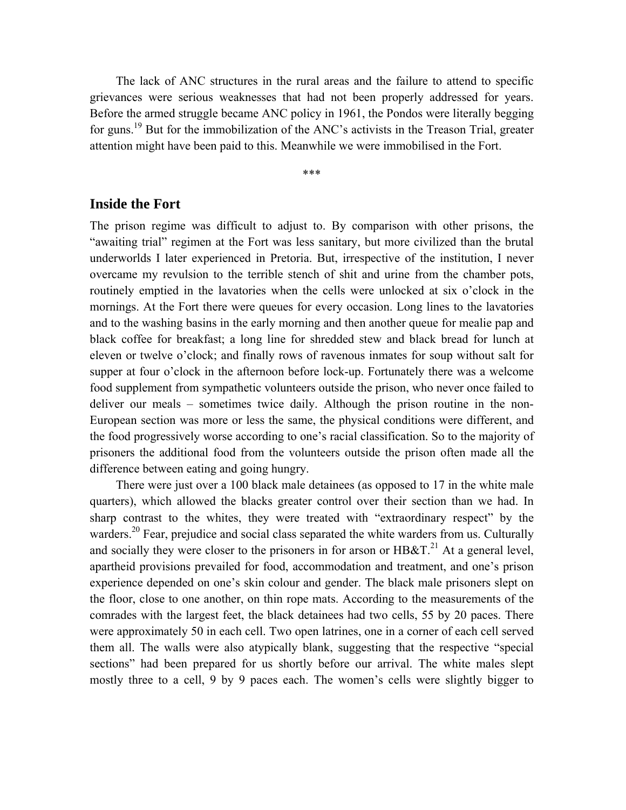The lack of ANC structures in the rural areas and the failure to attend to specific grievances were serious weaknesses that had not been properly addressed for years. Before the armed struggle became ANC policy in 1961, the Pondos were literally begging for guns.<sup>19</sup> But for the immobilization of the ANC's activists in the Treason Trial, greater attention might have been paid to this. Meanwhile we were immobilised in the Fort.

\*\*\*

## **Inside the Fort**

The prison regime was difficult to adjust to. By comparison with other prisons, the "awaiting trial" regimen at the Fort was less sanitary, but more civilized than the brutal underworlds I later experienced in Pretoria. But, irrespective of the institution, I never overcame my revulsion to the terrible stench of shit and urine from the chamber pots, routinely emptied in the lavatories when the cells were unlocked at six o'clock in the mornings. At the Fort there were queues for every occasion. Long lines to the lavatories and to the washing basins in the early morning and then another queue for mealie pap and black coffee for breakfast; a long line for shredded stew and black bread for lunch at eleven or twelve o'clock; and finally rows of ravenous inmates for soup without salt for supper at four o'clock in the afternoon before lock-up. Fortunately there was a welcome food supplement from sympathetic volunteers outside the prison, who never once failed to deliver our meals – sometimes twice daily. Although the prison routine in the non-European section was more or less the same, the physical conditions were different, and the food progressively worse according to one's racial classification. So to the majority of prisoners the additional food from the volunteers outside the prison often made all the difference between eating and going hungry.

There were just over a 100 black male detainees (as opposed to 17 in the white male quarters), which allowed the blacks greater control over their section than we had. In sharp contrast to the whites, they were treated with "extraordinary respect" by the warders.<sup>20</sup> Fear, prejudice and social class separated the white warders from us. Culturally and socially they were closer to the prisoners in for arson or  $HB&T.^{21}$  At a general level, apartheid provisions prevailed for food, accommodation and treatment, and one's prison experience depended on one's skin colour and gender. The black male prisoners slept on the floor, close to one another, on thin rope mats. According to the measurements of the comrades with the largest feet, the black detainees had two cells, 55 by 20 paces. There were approximately 50 in each cell. Two open latrines, one in a corner of each cell served them all. The walls were also atypically blank, suggesting that the respective "special sections" had been prepared for us shortly before our arrival. The white males slept mostly three to a cell, 9 by 9 paces each. The women's cells were slightly bigger to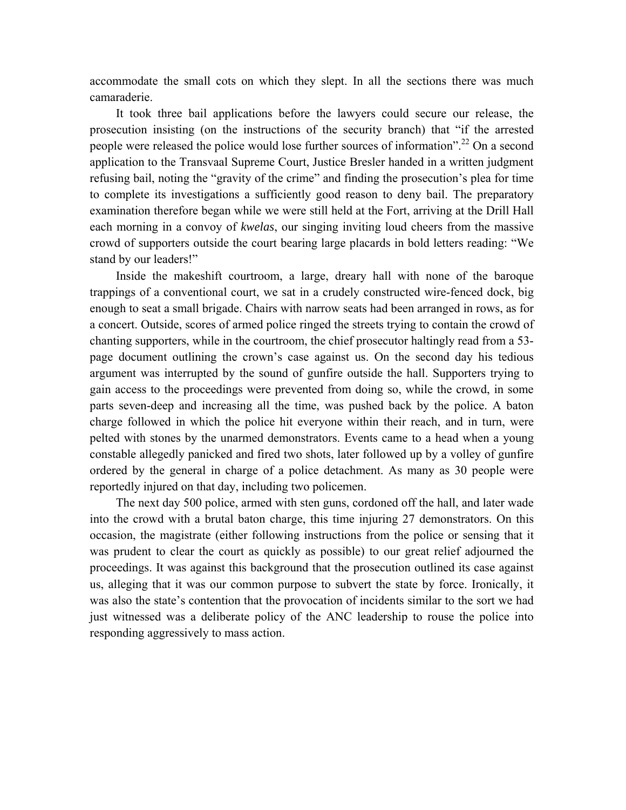accommodate the small cots on which they slept. In all the sections there was much camaraderie.

It took three bail applications before the lawyers could secure our release, the prosecution insisting (on the instructions of the security branch) that "if the arrested people were released the police would lose further sources of information".22 On a second application to the Transvaal Supreme Court, Justice Bresler handed in a written judgment refusing bail, noting the "gravity of the crime" and finding the prosecution's plea for time to complete its investigations a sufficiently good reason to deny bail. The preparatory examination therefore began while we were still held at the Fort, arriving at the Drill Hall each morning in a convoy of *kwelas*, our singing inviting loud cheers from the massive crowd of supporters outside the court bearing large placards in bold letters reading: "We stand by our leaders!"

Inside the makeshift courtroom, a large, dreary hall with none of the baroque trappings of a conventional court, we sat in a crudely constructed wire-fenced dock, big enough to seat a small brigade. Chairs with narrow seats had been arranged in rows, as for a concert. Outside, scores of armed police ringed the streets trying to contain the crowd of chanting supporters, while in the courtroom, the chief prosecutor haltingly read from a 53 page document outlining the crown's case against us. On the second day his tedious argument was interrupted by the sound of gunfire outside the hall. Supporters trying to gain access to the proceedings were prevented from doing so, while the crowd, in some parts seven-deep and increasing all the time, was pushed back by the police. A baton charge followed in which the police hit everyone within their reach, and in turn, were pelted with stones by the unarmed demonstrators. Events came to a head when a young constable allegedly panicked and fired two shots, later followed up by a volley of gunfire ordered by the general in charge of a police detachment. As many as 30 people were reportedly injured on that day, including two policemen.

The next day 500 police, armed with sten guns, cordoned off the hall, and later wade into the crowd with a brutal baton charge, this time injuring 27 demonstrators. On this occasion, the magistrate (either following instructions from the police or sensing that it was prudent to clear the court as quickly as possible) to our great relief adjourned the proceedings. It was against this background that the prosecution outlined its case against us, alleging that it was our common purpose to subvert the state by force. Ironically, it was also the state's contention that the provocation of incidents similar to the sort we had just witnessed was a deliberate policy of the ANC leadership to rouse the police into responding aggressively to mass action.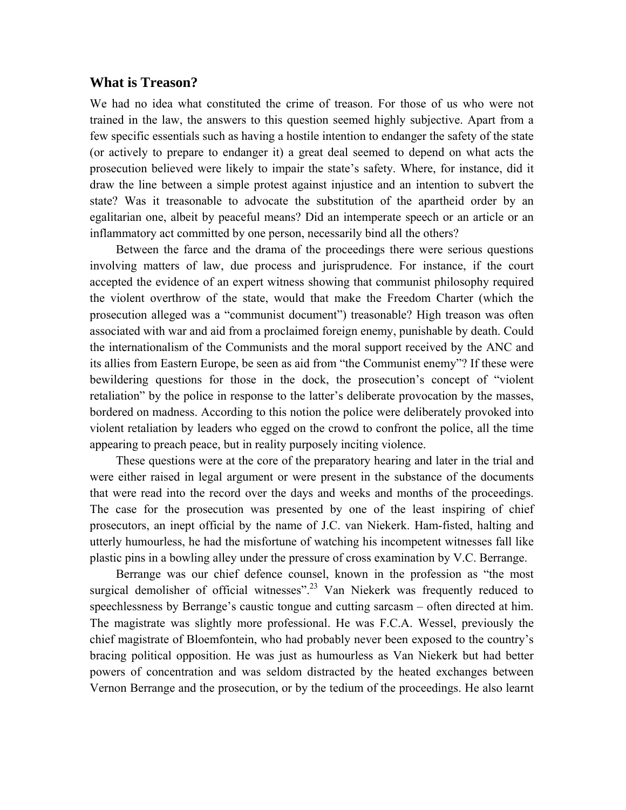# **What is Treason?**

We had no idea what constituted the crime of treason. For those of us who were not trained in the law, the answers to this question seemed highly subjective. Apart from a few specific essentials such as having a hostile intention to endanger the safety of the state (or actively to prepare to endanger it) a great deal seemed to depend on what acts the prosecution believed were likely to impair the state's safety. Where, for instance, did it draw the line between a simple protest against injustice and an intention to subvert the state? Was it treasonable to advocate the substitution of the apartheid order by an egalitarian one, albeit by peaceful means? Did an intemperate speech or an article or an inflammatory act committed by one person, necessarily bind all the others?

Between the farce and the drama of the proceedings there were serious questions involving matters of law, due process and jurisprudence. For instance, if the court accepted the evidence of an expert witness showing that communist philosophy required the violent overthrow of the state, would that make the Freedom Charter (which the prosecution alleged was a "communist document") treasonable? High treason was often associated with war and aid from a proclaimed foreign enemy, punishable by death. Could the internationalism of the Communists and the moral support received by the ANC and its allies from Eastern Europe, be seen as aid from "the Communist enemy"? If these were bewildering questions for those in the dock, the prosecution's concept of "violent retaliation" by the police in response to the latter's deliberate provocation by the masses, bordered on madness. According to this notion the police were deliberately provoked into violent retaliation by leaders who egged on the crowd to confront the police, all the time appearing to preach peace, but in reality purposely inciting violence.

These questions were at the core of the preparatory hearing and later in the trial and were either raised in legal argument or were present in the substance of the documents that were read into the record over the days and weeks and months of the proceedings. The case for the prosecution was presented by one of the least inspiring of chief prosecutors, an inept official by the name of J.C. van Niekerk. Ham-fisted, halting and utterly humourless, he had the misfortune of watching his incompetent witnesses fall like plastic pins in a bowling alley under the pressure of cross examination by V.C. Berrange.

Berrange was our chief defence counsel, known in the profession as "the most surgical demolisher of official witnesses".<sup>23</sup> Van Niekerk was frequently reduced to speechlessness by Berrange's caustic tongue and cutting sarcasm – often directed at him. The magistrate was slightly more professional. He was F.C.A. Wessel, previously the chief magistrate of Bloemfontein, who had probably never been exposed to the country's bracing political opposition. He was just as humourless as Van Niekerk but had better powers of concentration and was seldom distracted by the heated exchanges between Vernon Berrange and the prosecution, or by the tedium of the proceedings. He also learnt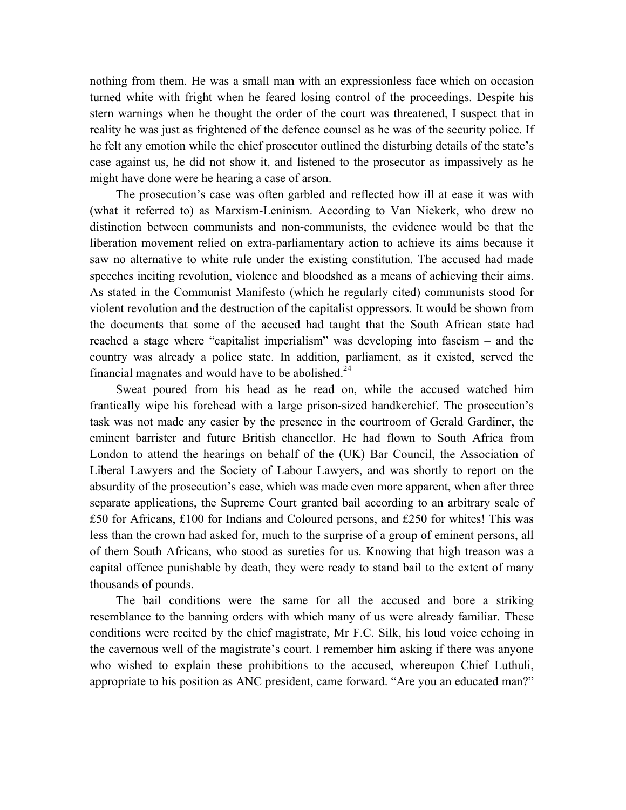nothing from them. He was a small man with an expressionless face which on occasion turned white with fright when he feared losing control of the proceedings. Despite his stern warnings when he thought the order of the court was threatened, I suspect that in reality he was just as frightened of the defence counsel as he was of the security police. If he felt any emotion while the chief prosecutor outlined the disturbing details of the state's case against us, he did not show it, and listened to the prosecutor as impassively as he might have done were he hearing a case of arson.

The prosecution's case was often garbled and reflected how ill at ease it was with (what it referred to) as Marxism-Leninism. According to Van Niekerk, who drew no distinction between communists and non-communists, the evidence would be that the liberation movement relied on extra-parliamentary action to achieve its aims because it saw no alternative to white rule under the existing constitution. The accused had made speeches inciting revolution, violence and bloodshed as a means of achieving their aims. As stated in the Communist Manifesto (which he regularly cited) communists stood for violent revolution and the destruction of the capitalist oppressors. It would be shown from the documents that some of the accused had taught that the South African state had reached a stage where "capitalist imperialism" was developing into fascism – and the country was already a police state. In addition, parliament, as it existed, served the financial magnates and would have to be abolished. $^{24}$ 

Sweat poured from his head as he read on, while the accused watched him frantically wipe his forehead with a large prison-sized handkerchief. The prosecution's task was not made any easier by the presence in the courtroom of Gerald Gardiner, the eminent barrister and future British chancellor. He had flown to South Africa from London to attend the hearings on behalf of the (UK) Bar Council, the Association of Liberal Lawyers and the Society of Labour Lawyers, and was shortly to report on the absurdity of the prosecution's case, which was made even more apparent, when after three separate applications, the Supreme Court granted bail according to an arbitrary scale of ₤50 for Africans, ₤100 for Indians and Coloured persons, and ₤250 for whites! This was less than the crown had asked for, much to the surprise of a group of eminent persons, all of them South Africans, who stood as sureties for us. Knowing that high treason was a capital offence punishable by death, they were ready to stand bail to the extent of many thousands of pounds.

The bail conditions were the same for all the accused and bore a striking resemblance to the banning orders with which many of us were already familiar. These conditions were recited by the chief magistrate, Mr F.C. Silk, his loud voice echoing in the cavernous well of the magistrate's court. I remember him asking if there was anyone who wished to explain these prohibitions to the accused, whereupon Chief Luthuli, appropriate to his position as ANC president, came forward. "Are you an educated man?"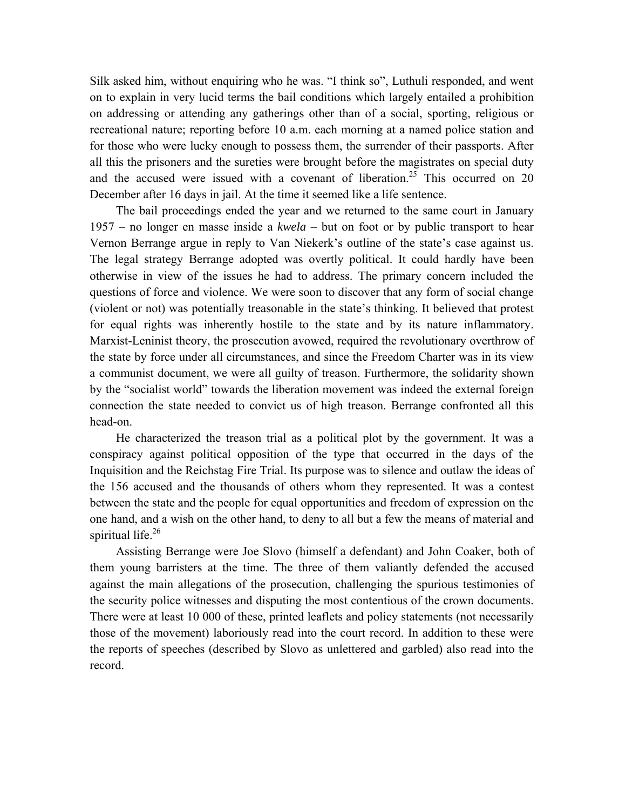Silk asked him, without enquiring who he was. "I think so", Luthuli responded, and went on to explain in very lucid terms the bail conditions which largely entailed a prohibition on addressing or attending any gatherings other than of a social, sporting, religious or recreational nature; reporting before 10 a.m. each morning at a named police station and for those who were lucky enough to possess them, the surrender of their passports. After all this the prisoners and the sureties were brought before the magistrates on special duty and the accused were issued with a covenant of liberation.<sup>25</sup> This occurred on 20 December after 16 days in jail. At the time it seemed like a life sentence.

The bail proceedings ended the year and we returned to the same court in January 1957 – no longer en masse inside a *kwela* – but on foot or by public transport to hear Vernon Berrange argue in reply to Van Niekerk's outline of the state's case against us. The legal strategy Berrange adopted was overtly political. It could hardly have been otherwise in view of the issues he had to address. The primary concern included the questions of force and violence. We were soon to discover that any form of social change (violent or not) was potentially treasonable in the state's thinking. It believed that protest for equal rights was inherently hostile to the state and by its nature inflammatory. Marxist-Leninist theory, the prosecution avowed, required the revolutionary overthrow of the state by force under all circumstances, and since the Freedom Charter was in its view a communist document, we were all guilty of treason. Furthermore, the solidarity shown by the "socialist world" towards the liberation movement was indeed the external foreign connection the state needed to convict us of high treason. Berrange confronted all this head-on.

He characterized the treason trial as a political plot by the government. It was a conspiracy against political opposition of the type that occurred in the days of the Inquisition and the Reichstag Fire Trial. Its purpose was to silence and outlaw the ideas of the 156 accused and the thousands of others whom they represented. It was a contest between the state and the people for equal opportunities and freedom of expression on the one hand, and a wish on the other hand, to deny to all but a few the means of material and spiritual life. $26$ 

Assisting Berrange were Joe Slovo (himself a defendant) and John Coaker, both of them young barristers at the time. The three of them valiantly defended the accused against the main allegations of the prosecution, challenging the spurious testimonies of the security police witnesses and disputing the most contentious of the crown documents. There were at least 10 000 of these, printed leaflets and policy statements (not necessarily those of the movement) laboriously read into the court record. In addition to these were the reports of speeches (described by Slovo as unlettered and garbled) also read into the record.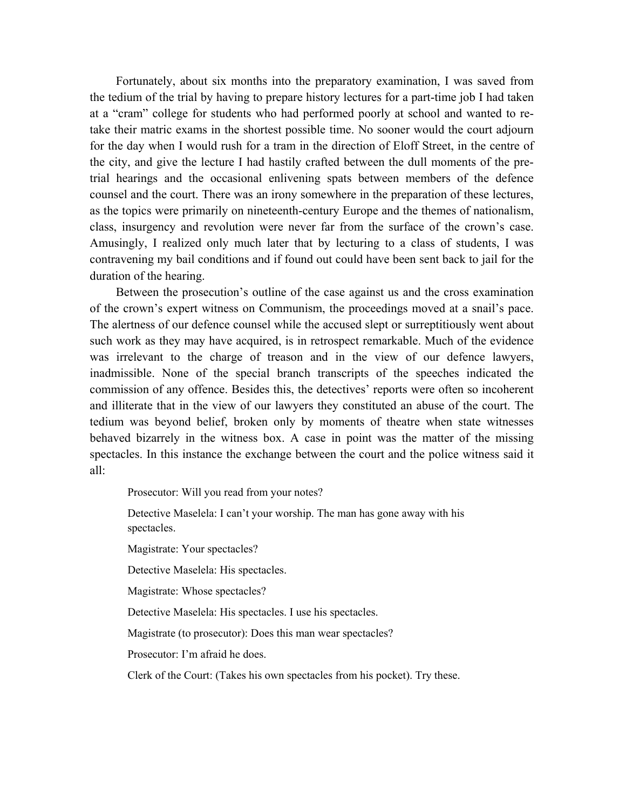Fortunately, about six months into the preparatory examination, I was saved from the tedium of the trial by having to prepare history lectures for a part-time job I had taken at a "cram" college for students who had performed poorly at school and wanted to retake their matric exams in the shortest possible time. No sooner would the court adjourn for the day when I would rush for a tram in the direction of Eloff Street, in the centre of the city, and give the lecture I had hastily crafted between the dull moments of the pretrial hearings and the occasional enlivening spats between members of the defence counsel and the court. There was an irony somewhere in the preparation of these lectures, as the topics were primarily on nineteenth-century Europe and the themes of nationalism, class, insurgency and revolution were never far from the surface of the crown's case. Amusingly, I realized only much later that by lecturing to a class of students, I was contravening my bail conditions and if found out could have been sent back to jail for the duration of the hearing.

Between the prosecution's outline of the case against us and the cross examination of the crown's expert witness on Communism, the proceedings moved at a snail's pace. The alertness of our defence counsel while the accused slept or surreptitiously went about such work as they may have acquired, is in retrospect remarkable. Much of the evidence was irrelevant to the charge of treason and in the view of our defence lawyers, inadmissible. None of the special branch transcripts of the speeches indicated the commission of any offence. Besides this, the detectives' reports were often so incoherent and illiterate that in the view of our lawyers they constituted an abuse of the court. The tedium was beyond belief, broken only by moments of theatre when state witnesses behaved bizarrely in the witness box. A case in point was the matter of the missing spectacles. In this instance the exchange between the court and the police witness said it all:

Prosecutor: Will you read from your notes?

Detective Maselela: I can't your worship. The man has gone away with his spectacles.

Magistrate: Your spectacles?

Detective Maselela: His spectacles.

Magistrate: Whose spectacles?

Detective Maselela: His spectacles. I use his spectacles.

Magistrate (to prosecutor): Does this man wear spectacles?

Prosecutor: I'm afraid he does.

Clerk of the Court: (Takes his own spectacles from his pocket). Try these.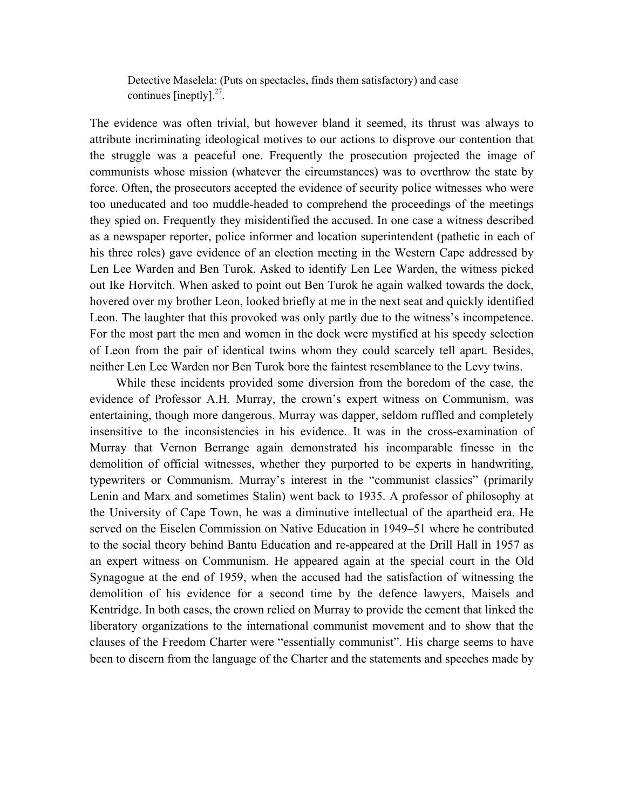Detective Maselela: (Puts on spectacles, finds them satisfactory) and case continues [ineptly]. $27$ .

The evidence was often trivial, but however bland it seemed, its thrust was always to attribute incriminating ideological motives to our actions to disprove our contention that the struggle was a peaceful one. Frequently the prosecution projected the image of communists whose mission (whatever the circumstances) was to overthrow the state by force. Often, the prosecutors accepted the evidence of security police witnesses who were too uneducated and too muddle-headed to comprehend the proceedings of the meetings they spied on. Frequently they misidentified the accused. In one case a witness described as a newspaper reporter, police informer and location superintendent (pathetic in each of his three roles) gave evidence of an election meeting in the Western Cape addressed by Len Lee Warden and Ben Turok. Asked to identify Len Lee Warden, the witness picked out Ike Horvitch. When asked to point out Ben Turok he again walked towards the dock, hovered over my brother Leon, looked briefly at me in the next seat and quickly identified Leon. The laughter that this provoked was only partly due to the witness's incompetence. For the most part the men and women in the dock were mystified at his speedy selection of Leon from the pair of identical twins whom they could scarcely tell apart. Besides, neither Len Lee Warden nor Ben Turok bore the faintest resemblance to the Levy twins.

While these incidents provided some diversion from the boredom of the case, the evidence of Professor A.H. Murray, the crown's expert witness on Communism, was entertaining, though more dangerous. Murray was dapper, seldom ruffled and completely insensitive to the inconsistencies in his evidence. It was in the cross-examination of Murray that Vernon Berrange again demonstrated his incomparable finesse in the demolition of official witnesses, whether they purported to be experts in handwriting, typewriters or Communism. Murray's interest in the "communist classics" (primarily Lenin and Marx and sometimes Stalin) went back to 1935. A professor of philosophy at the University of Cape Town, he was a diminutive intellectual of the apartheid era. He served on the Eiselen Commission on Native Education in 1949–51 where he contributed to the social theory behind Bantu Education and re-appeared at the Drill Hall in 1957 as an expert witness on Communism. He appeared again at the special court in the Old Synagogue at the end of 1959, when the accused had the satisfaction of witnessing the demolition of his evidence for a second time by the defence lawyers, Maisels and Kentridge. In both cases, the crown relied on Murray to provide the cement that linked the liberatory organizations to the international communist movement and to show that the clauses of the Freedom Charter were "essentially communist". His charge seems to have been to discern from the language of the Charter and the statements and speeches made by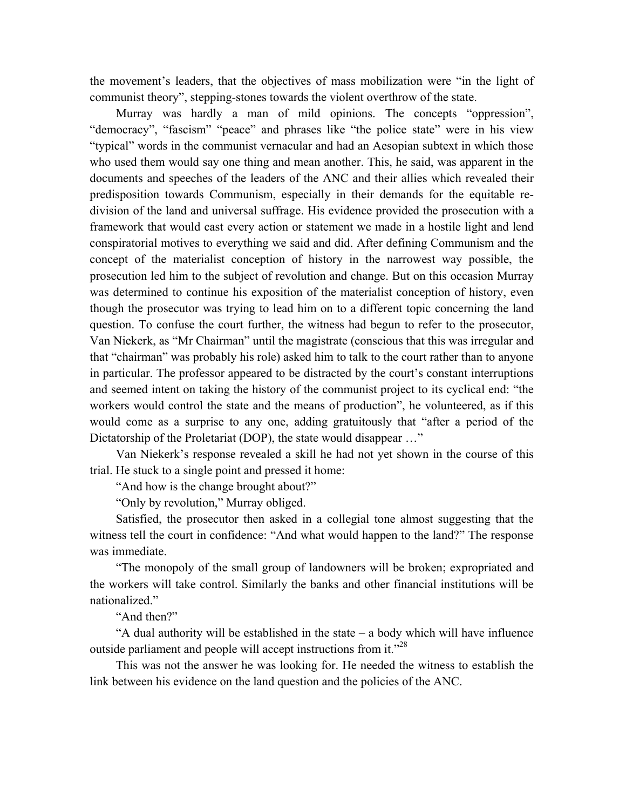the movement's leaders, that the objectives of mass mobilization were "in the light of communist theory", stepping-stones towards the violent overthrow of the state.

Murray was hardly a man of mild opinions. The concepts "oppression", "democracy", "fascism" "peace" and phrases like "the police state" were in his view "typical" words in the communist vernacular and had an Aesopian subtext in which those who used them would say one thing and mean another. This, he said, was apparent in the documents and speeches of the leaders of the ANC and their allies which revealed their predisposition towards Communism, especially in their demands for the equitable redivision of the land and universal suffrage. His evidence provided the prosecution with a framework that would cast every action or statement we made in a hostile light and lend conspiratorial motives to everything we said and did. After defining Communism and the concept of the materialist conception of history in the narrowest way possible, the prosecution led him to the subject of revolution and change. But on this occasion Murray was determined to continue his exposition of the materialist conception of history, even though the prosecutor was trying to lead him on to a different topic concerning the land question. To confuse the court further, the witness had begun to refer to the prosecutor, Van Niekerk, as "Mr Chairman" until the magistrate (conscious that this was irregular and that "chairman" was probably his role) asked him to talk to the court rather than to anyone in particular. The professor appeared to be distracted by the court's constant interruptions and seemed intent on taking the history of the communist project to its cyclical end: "the workers would control the state and the means of production", he volunteered, as if this would come as a surprise to any one, adding gratuitously that "after a period of the Dictatorship of the Proletariat (DOP), the state would disappear ..."

Van Niekerk's response revealed a skill he had not yet shown in the course of this trial. He stuck to a single point and pressed it home:

"And how is the change brought about?"

"Only by revolution," Murray obliged.

Satisfied, the prosecutor then asked in a collegial tone almost suggesting that the witness tell the court in confidence: "And what would happen to the land?" The response was immediate.

"The monopoly of the small group of landowners will be broken; expropriated and the workers will take control. Similarly the banks and other financial institutions will be nationalized."

"And then?"

"A dual authority will be established in the state – a body which will have influence outside parliament and people will accept instructions from it."<sup>28</sup>

This was not the answer he was looking for. He needed the witness to establish the link between his evidence on the land question and the policies of the ANC.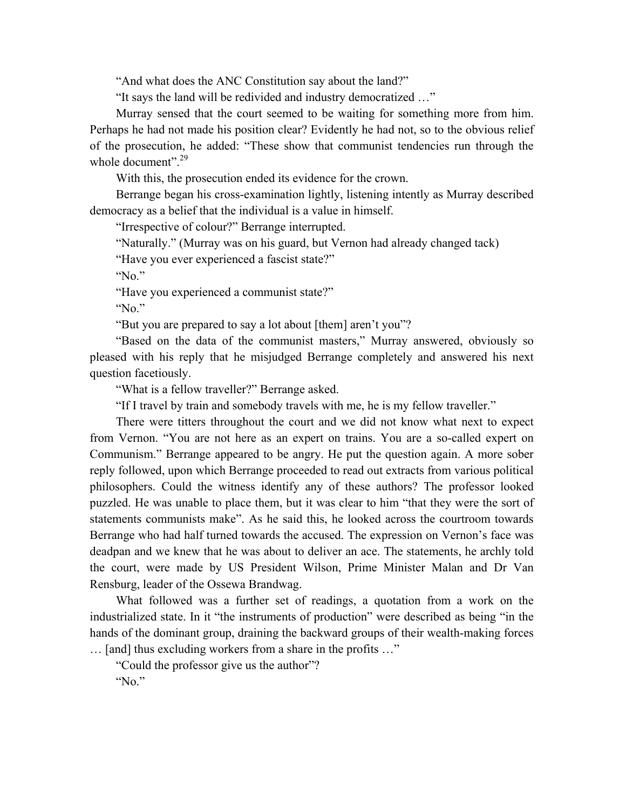"And what does the ANC Constitution say about the land?"

"It says the land will be redivided and industry democratized …"

Murray sensed that the court seemed to be waiting for something more from him. Perhaps he had not made his position clear? Evidently he had not, so to the obvious relief of the prosecution, he added: "These show that communist tendencies run through the whole document". $29$ 

With this, the prosecution ended its evidence for the crown.

Berrange began his cross-examination lightly, listening intently as Murray described democracy as a belief that the individual is a value in himself.

"Irrespective of colour?" Berrange interrupted.

"Naturally." (Murray was on his guard, but Vernon had already changed tack)

"Have you ever experienced a fascist state?"

"No."

"Have you experienced a communist state?"

"No."

"But you are prepared to say a lot about [them] aren't you"?

"Based on the data of the communist masters," Murray answered, obviously so pleased with his reply that he misjudged Berrange completely and answered his next question facetiously.

"What is a fellow traveller?" Berrange asked.

"If I travel by train and somebody travels with me, he is my fellow traveller."

There were titters throughout the court and we did not know what next to expect from Vernon. "You are not here as an expert on trains. You are a so-called expert on Communism." Berrange appeared to be angry. He put the question again. A more sober reply followed, upon which Berrange proceeded to read out extracts from various political philosophers. Could the witness identify any of these authors? The professor looked puzzled. He was unable to place them, but it was clear to him "that they were the sort of statements communists make". As he said this, he looked across the courtroom towards Berrange who had half turned towards the accused. The expression on Vernon's face was deadpan and we knew that he was about to deliver an ace. The statements, he archly told the court, were made by US President Wilson, Prime Minister Malan and Dr Van Rensburg, leader of the Ossewa Brandwag.

What followed was a further set of readings, a quotation from a work on the industrialized state. In it "the instruments of production" were described as being "in the hands of the dominant group, draining the backward groups of their wealth-making forces … [and] thus excluding workers from a share in the profits …"

"Could the professor give us the author"?

"No."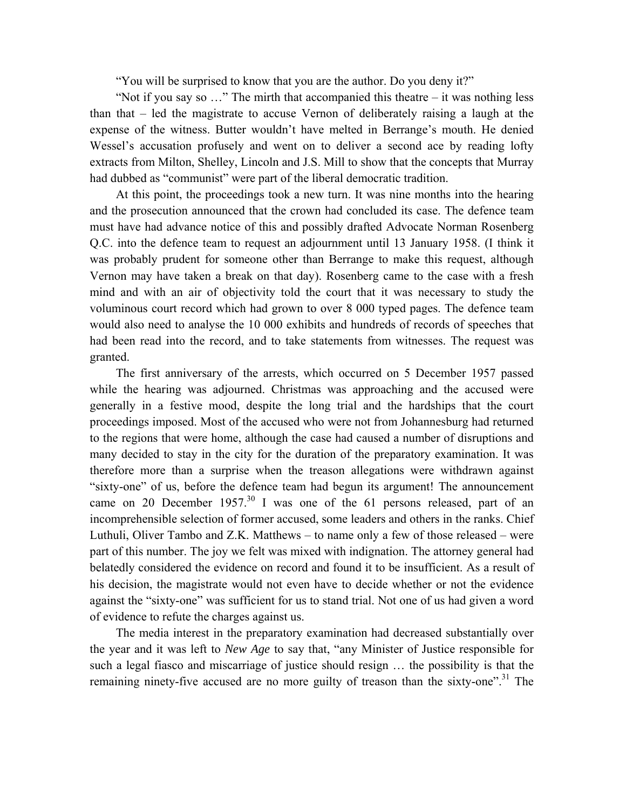"You will be surprised to know that you are the author. Do you deny it?"

"Not if you say so  $\ldots$ " The mirth that accompanied this theatre – it was nothing less than that – led the magistrate to accuse Vernon of deliberately raising a laugh at the expense of the witness. Butter wouldn't have melted in Berrange's mouth. He denied Wessel's accusation profusely and went on to deliver a second ace by reading lofty extracts from Milton, Shelley, Lincoln and J.S. Mill to show that the concepts that Murray had dubbed as "communist" were part of the liberal democratic tradition.

At this point, the proceedings took a new turn. It was nine months into the hearing and the prosecution announced that the crown had concluded its case. The defence team must have had advance notice of this and possibly drafted Advocate Norman Rosenberg Q.C. into the defence team to request an adjournment until 13 January 1958. (I think it was probably prudent for someone other than Berrange to make this request, although Vernon may have taken a break on that day). Rosenberg came to the case with a fresh mind and with an air of objectivity told the court that it was necessary to study the voluminous court record which had grown to over 8 000 typed pages. The defence team would also need to analyse the 10 000 exhibits and hundreds of records of speeches that had been read into the record, and to take statements from witnesses. The request was granted.

The first anniversary of the arrests, which occurred on 5 December 1957 passed while the hearing was adjourned. Christmas was approaching and the accused were generally in a festive mood, despite the long trial and the hardships that the court proceedings imposed. Most of the accused who were not from Johannesburg had returned to the regions that were home, although the case had caused a number of disruptions and many decided to stay in the city for the duration of the preparatory examination. It was therefore more than a surprise when the treason allegations were withdrawn against "sixty-one" of us, before the defence team had begun its argument! The announcement came on 20 December 1957.<sup>30</sup> I was one of the 61 persons released, part of an incomprehensible selection of former accused, some leaders and others in the ranks. Chief Luthuli, Oliver Tambo and Z.K. Matthews – to name only a few of those released – were part of this number. The joy we felt was mixed with indignation. The attorney general had belatedly considered the evidence on record and found it to be insufficient. As a result of his decision, the magistrate would not even have to decide whether or not the evidence against the "sixty-one" was sufficient for us to stand trial. Not one of us had given a word of evidence to refute the charges against us.

The media interest in the preparatory examination had decreased substantially over the year and it was left to *New Age* to say that, "any Minister of Justice responsible for such a legal fiasco and miscarriage of justice should resign … the possibility is that the remaining ninety-five accused are no more guilty of treason than the sixty-one".<sup>31</sup> The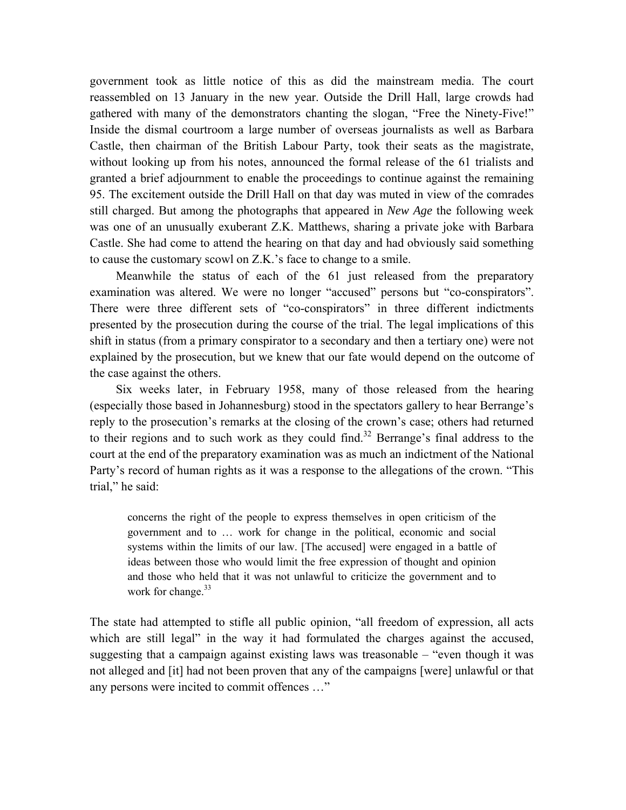government took as little notice of this as did the mainstream media. The court reassembled on 13 January in the new year. Outside the Drill Hall, large crowds had gathered with many of the demonstrators chanting the slogan, "Free the Ninety-Five!" Inside the dismal courtroom a large number of overseas journalists as well as Barbara Castle, then chairman of the British Labour Party, took their seats as the magistrate, without looking up from his notes, announced the formal release of the 61 trialists and granted a brief adjournment to enable the proceedings to continue against the remaining 95. The excitement outside the Drill Hall on that day was muted in view of the comrades still charged. But among the photographs that appeared in *New Age* the following week was one of an unusually exuberant Z.K. Matthews, sharing a private joke with Barbara Castle. She had come to attend the hearing on that day and had obviously said something to cause the customary scowl on Z.K.'s face to change to a smile.

Meanwhile the status of each of the 61 just released from the preparatory examination was altered. We were no longer "accused" persons but "co-conspirators". There were three different sets of "co-conspirators" in three different indictments presented by the prosecution during the course of the trial. The legal implications of this shift in status (from a primary conspirator to a secondary and then a tertiary one) were not explained by the prosecution, but we knew that our fate would depend on the outcome of the case against the others.

Six weeks later, in February 1958, many of those released from the hearing (especially those based in Johannesburg) stood in the spectators gallery to hear Berrange's reply to the prosecution's remarks at the closing of the crown's case; others had returned to their regions and to such work as they could find.<sup>32</sup> Berrange's final address to the court at the end of the preparatory examination was as much an indictment of the National Party's record of human rights as it was a response to the allegations of the crown. "This trial," he said:

concerns the right of the people to express themselves in open criticism of the government and to … work for change in the political, economic and social systems within the limits of our law. [The accused] were engaged in a battle of ideas between those who would limit the free expression of thought and opinion and those who held that it was not unlawful to criticize the government and to work for change. $33$ 

The state had attempted to stifle all public opinion, "all freedom of expression, all acts which are still legal" in the way it had formulated the charges against the accused, suggesting that a campaign against existing laws was treasonable – "even though it was not alleged and [it] had not been proven that any of the campaigns [were] unlawful or that any persons were incited to commit offences …"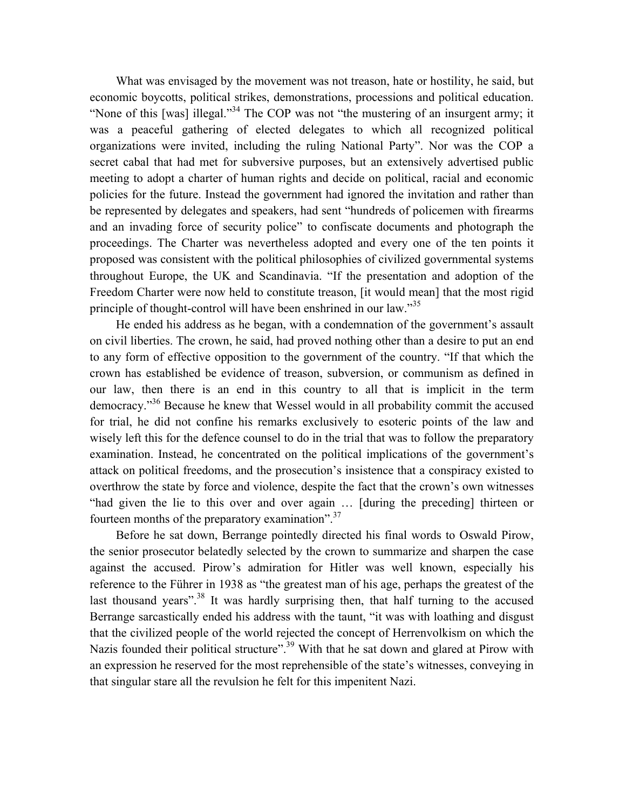What was envisaged by the movement was not treason, hate or hostility, he said, but economic boycotts, political strikes, demonstrations, processions and political education. "None of this [was] illegal."<sup>34</sup> The COP was not "the mustering of an insurgent army; it was a peaceful gathering of elected delegates to which all recognized political organizations were invited, including the ruling National Party". Nor was the COP a secret cabal that had met for subversive purposes, but an extensively advertised public meeting to adopt a charter of human rights and decide on political, racial and economic policies for the future. Instead the government had ignored the invitation and rather than be represented by delegates and speakers, had sent "hundreds of policemen with firearms and an invading force of security police" to confiscate documents and photograph the proceedings. The Charter was nevertheless adopted and every one of the ten points it proposed was consistent with the political philosophies of civilized governmental systems throughout Europe, the UK and Scandinavia. "If the presentation and adoption of the Freedom Charter were now held to constitute treason, [it would mean] that the most rigid principle of thought-control will have been enshrined in our law."<sup>35</sup>

He ended his address as he began, with a condemnation of the government's assault on civil liberties. The crown, he said, had proved nothing other than a desire to put an end to any form of effective opposition to the government of the country. "If that which the crown has established be evidence of treason, subversion, or communism as defined in our law, then there is an end in this country to all that is implicit in the term democracy."36 Because he knew that Wessel would in all probability commit the accused for trial, he did not confine his remarks exclusively to esoteric points of the law and wisely left this for the defence counsel to do in the trial that was to follow the preparatory examination. Instead, he concentrated on the political implications of the government's attack on political freedoms, and the prosecution's insistence that a conspiracy existed to overthrow the state by force and violence, despite the fact that the crown's own witnesses "had given the lie to this over and over again … [during the preceding] thirteen or fourteen months of the preparatory examination".<sup>37</sup>

Before he sat down, Berrange pointedly directed his final words to Oswald Pirow, the senior prosecutor belatedly selected by the crown to summarize and sharpen the case against the accused. Pirow's admiration for Hitler was well known, especially his reference to the Führer in 1938 as "the greatest man of his age, perhaps the greatest of the last thousand years".<sup>38</sup> It was hardly surprising then, that half turning to the accused Berrange sarcastically ended his address with the taunt, "it was with loathing and disgust that the civilized people of the world rejected the concept of Herrenvolkism on which the Nazis founded their political structure".<sup>39</sup> With that he sat down and glared at Pirow with an expression he reserved for the most reprehensible of the state's witnesses, conveying in that singular stare all the revulsion he felt for this impenitent Nazi.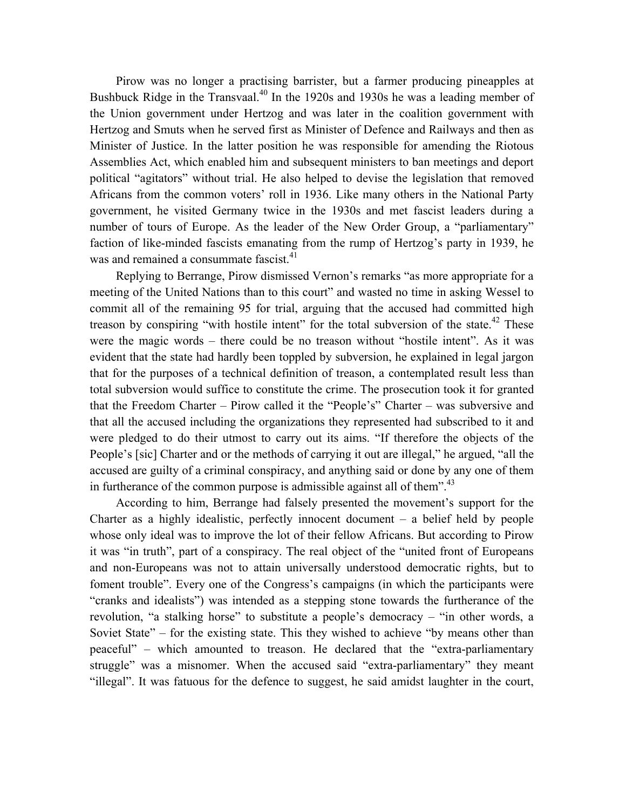Pirow was no longer a practising barrister, but a farmer producing pineapples at Bushbuck Ridge in the Transvaal.<sup>40</sup> In the 1920s and 1930s he was a leading member of the Union government under Hertzog and was later in the coalition government with Hertzog and Smuts when he served first as Minister of Defence and Railways and then as Minister of Justice. In the latter position he was responsible for amending the Riotous Assemblies Act, which enabled him and subsequent ministers to ban meetings and deport political "agitators" without trial. He also helped to devise the legislation that removed Africans from the common voters' roll in 1936. Like many others in the National Party government, he visited Germany twice in the 1930s and met fascist leaders during a number of tours of Europe. As the leader of the New Order Group, a "parliamentary" faction of like-minded fascists emanating from the rump of Hertzog's party in 1939, he was and remained a consummate fascist.<sup>41</sup>

Replying to Berrange, Pirow dismissed Vernon's remarks "as more appropriate for a meeting of the United Nations than to this court" and wasted no time in asking Wessel to commit all of the remaining 95 for trial, arguing that the accused had committed high treason by conspiring "with hostile intent" for the total subversion of the state.<sup>42</sup> These were the magic words – there could be no treason without "hostile intent". As it was evident that the state had hardly been toppled by subversion, he explained in legal jargon that for the purposes of a technical definition of treason, a contemplated result less than total subversion would suffice to constitute the crime. The prosecution took it for granted that the Freedom Charter – Pirow called it the "People's" Charter – was subversive and that all the accused including the organizations they represented had subscribed to it and were pledged to do their utmost to carry out its aims. "If therefore the objects of the People's [sic] Charter and or the methods of carrying it out are illegal," he argued, "all the accused are guilty of a criminal conspiracy, and anything said or done by any one of them in furtherance of the common purpose is admissible against all of them".<sup>43</sup>

According to him, Berrange had falsely presented the movement's support for the Charter as a highly idealistic, perfectly innocent document – a belief held by people whose only ideal was to improve the lot of their fellow Africans. But according to Pirow it was "in truth", part of a conspiracy. The real object of the "united front of Europeans and non-Europeans was not to attain universally understood democratic rights, but to foment trouble". Every one of the Congress's campaigns (in which the participants were "cranks and idealists") was intended as a stepping stone towards the furtherance of the revolution, "a stalking horse" to substitute a people's democracy – "in other words, a Soviet State" – for the existing state. This they wished to achieve "by means other than peaceful" – which amounted to treason. He declared that the "extra-parliamentary struggle" was a misnomer. When the accused said "extra-parliamentary" they meant "illegal". It was fatuous for the defence to suggest, he said amidst laughter in the court,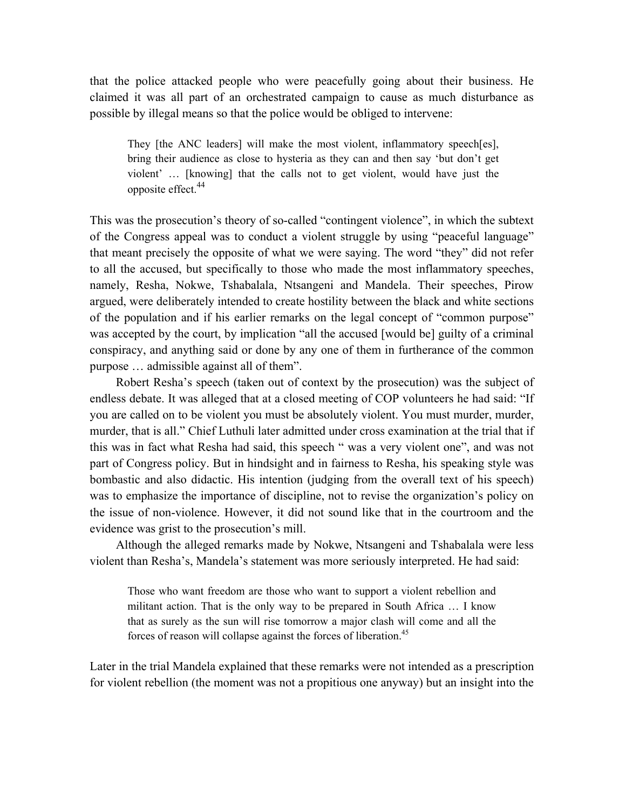that the police attacked people who were peacefully going about their business. He claimed it was all part of an orchestrated campaign to cause as much disturbance as possible by illegal means so that the police would be obliged to intervene:

They [the ANC leaders] will make the most violent, inflammatory speech[es], bring their audience as close to hysteria as they can and then say 'but don't get violent' … [knowing] that the calls not to get violent, would have just the opposite effect.<sup>44</sup>

This was the prosecution's theory of so-called "contingent violence", in which the subtext of the Congress appeal was to conduct a violent struggle by using "peaceful language" that meant precisely the opposite of what we were saying. The word "they" did not refer to all the accused, but specifically to those who made the most inflammatory speeches, namely, Resha, Nokwe, Tshabalala, Ntsangeni and Mandela. Their speeches, Pirow argued, were deliberately intended to create hostility between the black and white sections of the population and if his earlier remarks on the legal concept of "common purpose" was accepted by the court, by implication "all the accused [would be] guilty of a criminal conspiracy, and anything said or done by any one of them in furtherance of the common purpose … admissible against all of them".

Robert Resha's speech (taken out of context by the prosecution) was the subject of endless debate. It was alleged that at a closed meeting of COP volunteers he had said: "If you are called on to be violent you must be absolutely violent. You must murder, murder, murder, that is all." Chief Luthuli later admitted under cross examination at the trial that if this was in fact what Resha had said, this speech " was a very violent one", and was not part of Congress policy. But in hindsight and in fairness to Resha, his speaking style was bombastic and also didactic. His intention (judging from the overall text of his speech) was to emphasize the importance of discipline, not to revise the organization's policy on the issue of non-violence. However, it did not sound like that in the courtroom and the evidence was grist to the prosecution's mill.

Although the alleged remarks made by Nokwe, Ntsangeni and Tshabalala were less violent than Resha's, Mandela's statement was more seriously interpreted. He had said:

Those who want freedom are those who want to support a violent rebellion and militant action. That is the only way to be prepared in South Africa … I know that as surely as the sun will rise tomorrow a major clash will come and all the forces of reason will collapse against the forces of liberation.<sup>45</sup>

Later in the trial Mandela explained that these remarks were not intended as a prescription for violent rebellion (the moment was not a propitious one anyway) but an insight into the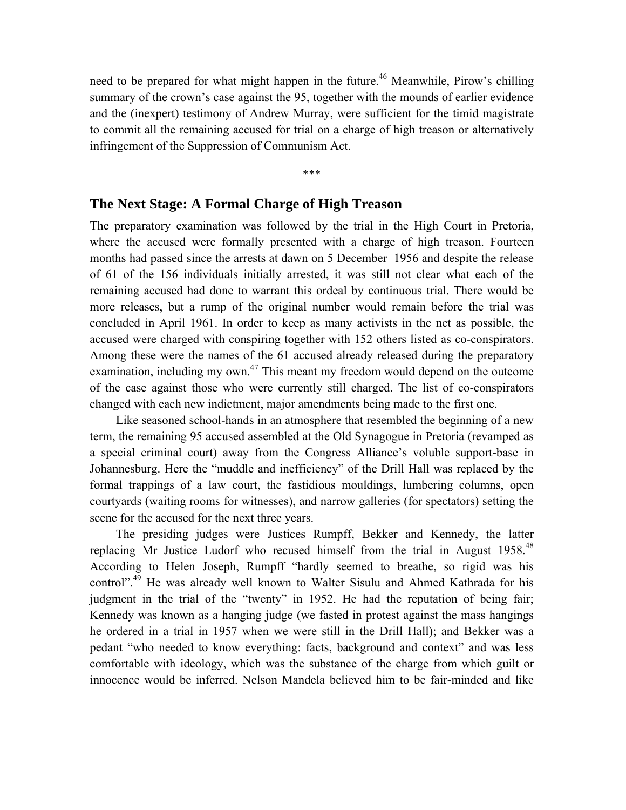need to be prepared for what might happen in the future.<sup>46</sup> Meanwhile, Pirow's chilling summary of the crown's case against the 95, together with the mounds of earlier evidence and the (inexpert) testimony of Andrew Murray, were sufficient for the timid magistrate to commit all the remaining accused for trial on a charge of high treason or alternatively infringement of the Suppression of Communism Act.

\*\*\*

# **The Next Stage: A Formal Charge of High Treason**

The preparatory examination was followed by the trial in the High Court in Pretoria, where the accused were formally presented with a charge of high treason. Fourteen months had passed since the arrests at dawn on 5 December 1956 and despite the release of 61 of the 156 individuals initially arrested, it was still not clear what each of the remaining accused had done to warrant this ordeal by continuous trial. There would be more releases, but a rump of the original number would remain before the trial was concluded in April 1961. In order to keep as many activists in the net as possible, the accused were charged with conspiring together with 152 others listed as co-conspirators. Among these were the names of the 61 accused already released during the preparatory examination, including my own.<sup>47</sup> This meant my freedom would depend on the outcome of the case against those who were currently still charged. The list of co-conspirators changed with each new indictment, major amendments being made to the first one.

Like seasoned school-hands in an atmosphere that resembled the beginning of a new term, the remaining 95 accused assembled at the Old Synagogue in Pretoria (revamped as a special criminal court) away from the Congress Alliance's voluble support-base in Johannesburg. Here the "muddle and inefficiency" of the Drill Hall was replaced by the formal trappings of a law court, the fastidious mouldings, lumbering columns, open courtyards (waiting rooms for witnesses), and narrow galleries (for spectators) setting the scene for the accused for the next three years.

The presiding judges were Justices Rumpff, Bekker and Kennedy, the latter replacing Mr Justice Ludorf who recused himself from the trial in August  $1958^{48}$ According to Helen Joseph, Rumpff "hardly seemed to breathe, so rigid was his control".<sup>49</sup> He was already well known to Walter Sisulu and Ahmed Kathrada for his judgment in the trial of the "twenty" in 1952. He had the reputation of being fair; Kennedy was known as a hanging judge (we fasted in protest against the mass hangings he ordered in a trial in 1957 when we were still in the Drill Hall); and Bekker was a pedant "who needed to know everything: facts, background and context" and was less comfortable with ideology, which was the substance of the charge from which guilt or innocence would be inferred. Nelson Mandela believed him to be fair-minded and like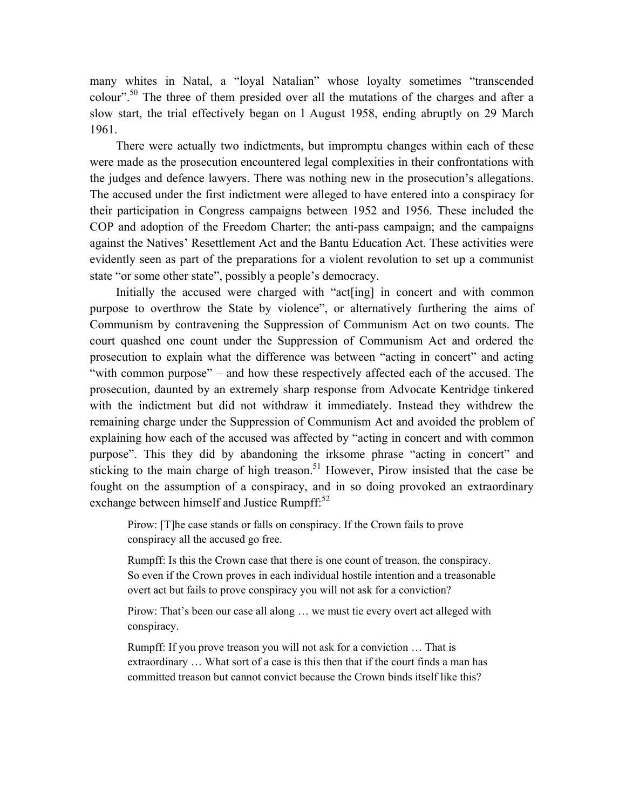many whites in Natal, a "loyal Natalian" whose loyalty sometimes "transcended colour".<sup>50</sup> The three of them presided over all the mutations of the charges and after a slow start, the trial effectively began on l August 1958, ending abruptly on 29 March 1961.

There were actually two indictments, but impromptu changes within each of these were made as the prosecution encountered legal complexities in their confrontations with the judges and defence lawyers. There was nothing new in the prosecution's allegations. The accused under the first indictment were alleged to have entered into a conspiracy for their participation in Congress campaigns between 1952 and 1956. These included the COP and adoption of the Freedom Charter; the anti-pass campaign; and the campaigns against the Natives' Resettlement Act and the Bantu Education Act. These activities were evidently seen as part of the preparations for a violent revolution to set up a communist state "or some other state", possibly a people's democracy.

Initially the accused were charged with "act<sup>[ing]</sup> in concert and with common purpose to overthrow the State by violence", or alternatively furthering the aims of Communism by contravening the Suppression of Communism Act on two counts. The court quashed one count under the Suppression of Communism Act and ordered the prosecution to explain what the difference was between "acting in concert" and acting "with common purpose" – and how these respectively affected each of the accused. The prosecution, daunted by an extremely sharp response from Advocate Kentridge tinkered with the indictment but did not withdraw it immediately. Instead they withdrew the remaining charge under the Suppression of Communism Act and avoided the problem of explaining how each of the accused was affected by "acting in concert and with common purpose". This they did by abandoning the irksome phrase "acting in concert" and sticking to the main charge of high treason.<sup>51</sup> However, Pirow insisted that the case be fought on the assumption of a conspiracy, and in so doing provoked an extraordinary exchange between himself and Justice Rumpff:<sup>52</sup>

Pirow: [T]he case stands or falls on conspiracy. If the Crown fails to prove conspiracy all the accused go free.

Rumpff: Is this the Crown case that there is one count of treason, the conspiracy. So even if the Crown proves in each individual hostile intention and a treasonable overt act but fails to prove conspiracy you will not ask for a conviction?

Pirow: That's been our case all along … we must tie every overt act alleged with conspiracy.

Rumpff: If you prove treason you will not ask for a conviction … That is extraordinary … What sort of a case is this then that if the court finds a man has committed treason but cannot convict because the Crown binds itself like this?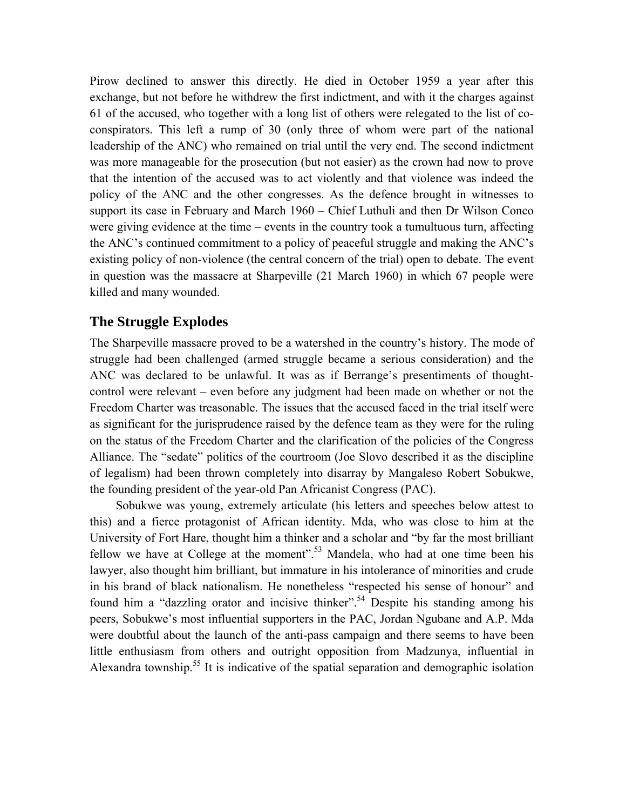Pirow declined to answer this directly. He died in October 1959 a year after this exchange, but not before he withdrew the first indictment, and with it the charges against 61 of the accused, who together with a long list of others were relegated to the list of coconspirators. This left a rump of 30 (only three of whom were part of the national leadership of the ANC) who remained on trial until the very end. The second indictment was more manageable for the prosecution (but not easier) as the crown had now to prove that the intention of the accused was to act violently and that violence was indeed the policy of the ANC and the other congresses. As the defence brought in witnesses to support its case in February and March 1960 – Chief Luthuli and then Dr Wilson Conco were giving evidence at the time – events in the country took a tumultuous turn, affecting the ANC's continued commitment to a policy of peaceful struggle and making the ANC's existing policy of non-violence (the central concern of the trial) open to debate. The event in question was the massacre at Sharpeville (21 March 1960) in which 67 people were killed and many wounded.

# **The Struggle Explodes**

The Sharpeville massacre proved to be a watershed in the country's history. The mode of struggle had been challenged (armed struggle became a serious consideration) and the ANC was declared to be unlawful. It was as if Berrange's presentiments of thoughtcontrol were relevant – even before any judgment had been made on whether or not the Freedom Charter was treasonable. The issues that the accused faced in the trial itself were as significant for the jurisprudence raised by the defence team as they were for the ruling on the status of the Freedom Charter and the clarification of the policies of the Congress Alliance. The "sedate" politics of the courtroom (Joe Slovo described it as the discipline of legalism) had been thrown completely into disarray by Mangaleso Robert Sobukwe, the founding president of the year-old Pan Africanist Congress (PAC).

Sobukwe was young, extremely articulate (his letters and speeches below attest to this) and a fierce protagonist of African identity. Mda, who was close to him at the University of Fort Hare, thought him a thinker and a scholar and "by far the most brilliant fellow we have at College at the moment".<sup>53</sup> Mandela, who had at one time been his lawyer, also thought him brilliant, but immature in his intolerance of minorities and crude in his brand of black nationalism. He nonetheless "respected his sense of honour" and found him a "dazzling orator and incisive thinker".<sup>54</sup> Despite his standing among his peers, Sobukwe's most influential supporters in the PAC, Jordan Ngubane and A.P. Mda were doubtful about the launch of the anti-pass campaign and there seems to have been little enthusiasm from others and outright opposition from Madzunya, influential in Alexandra township.<sup>55</sup> It is indicative of the spatial separation and demographic isolation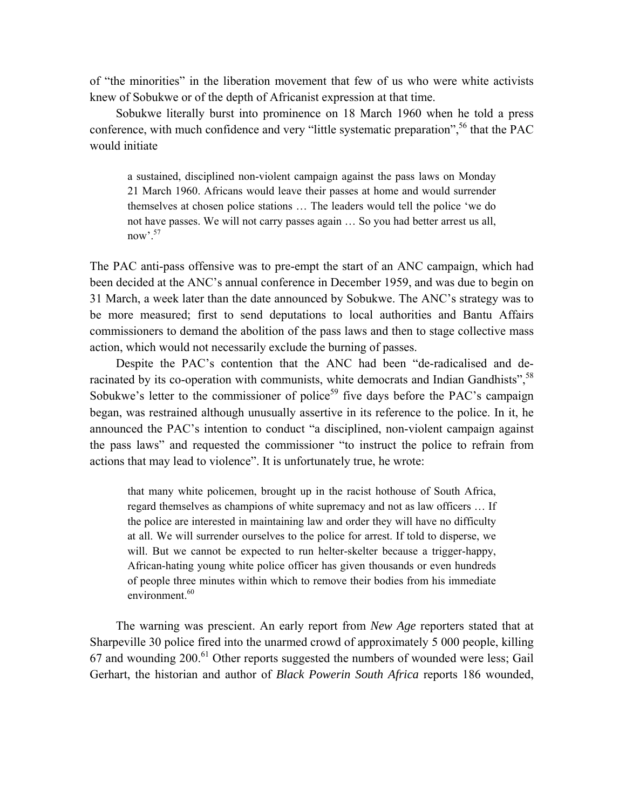of "the minorities" in the liberation movement that few of us who were white activists knew of Sobukwe or of the depth of Africanist expression at that time.

Sobukwe literally burst into prominence on 18 March 1960 when he told a press conference, with much confidence and very "little systematic preparation",<sup>56</sup> that the PAC would initiate

a sustained, disciplined non-violent campaign against the pass laws on Monday 21 March 1960. Africans would leave their passes at home and would surrender themselves at chosen police stations … The leaders would tell the police 'we do not have passes. We will not carry passes again … So you had better arrest us all, now'.  $57$ 

The PAC anti-pass offensive was to pre-empt the start of an ANC campaign, which had been decided at the ANC's annual conference in December 1959, and was due to begin on 31 March, a week later than the date announced by Sobukwe. The ANC's strategy was to be more measured; first to send deputations to local authorities and Bantu Affairs commissioners to demand the abolition of the pass laws and then to stage collective mass action, which would not necessarily exclude the burning of passes.

Despite the PAC's contention that the ANC had been "de-radicalised and deracinated by its co-operation with communists, white democrats and Indian Gandhists", <sup>58</sup> Sobukwe's letter to the commissioner of police<sup>59</sup> five days before the PAC's campaign began, was restrained although unusually assertive in its reference to the police. In it, he announced the PAC's intention to conduct "a disciplined, non-violent campaign against the pass laws" and requested the commissioner "to instruct the police to refrain from actions that may lead to violence". It is unfortunately true, he wrote:

that many white policemen, brought up in the racist hothouse of South Africa, regard themselves as champions of white supremacy and not as law officers … If the police are interested in maintaining law and order they will have no difficulty at all. We will surrender ourselves to the police for arrest. If told to disperse, we will. But we cannot be expected to run helter-skelter because a trigger-happy, African-hating young white police officer has given thousands or even hundreds of people three minutes within which to remove their bodies from his immediate environment.<sup>60</sup>

The warning was prescient. An early report from *New Age* reporters stated that at Sharpeville 30 police fired into the unarmed crowd of approximately 5 000 people, killing  $67$  and wounding  $200<sup>61</sup>$  Other reports suggested the numbers of wounded were less; Gail Gerhart, the historian and author of *Black Powerin South Africa* reports 186 wounded,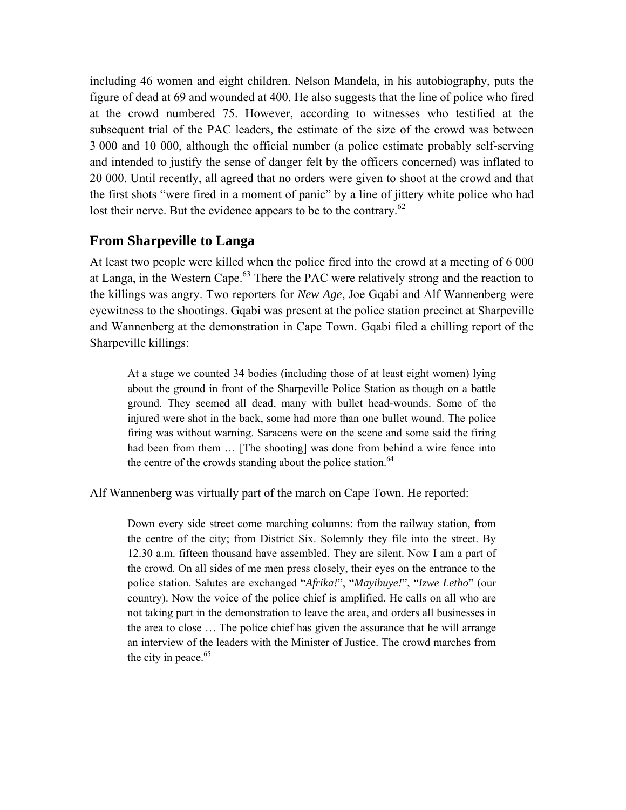including 46 women and eight children. Nelson Mandela, in his autobiography, puts the figure of dead at 69 and wounded at 400. He also suggests that the line of police who fired at the crowd numbered 75. However, according to witnesses who testified at the subsequent trial of the PAC leaders, the estimate of the size of the crowd was between 3 000 and 10 000, although the official number (a police estimate probably self-serving and intended to justify the sense of danger felt by the officers concerned) was inflated to 20 000. Until recently, all agreed that no orders were given to shoot at the crowd and that the first shots "were fired in a moment of panic" by a line of jittery white police who had lost their nerve. But the evidence appears to be to the contrary.<sup>62</sup>

# **From Sharpeville to Langa**

At least two people were killed when the police fired into the crowd at a meeting of 6 000 at Langa, in the Western Cape.<sup>63</sup> There the PAC were relatively strong and the reaction to the killings was angry. Two reporters for *New Age*, Joe Gqabi and Alf Wannenberg were eyewitness to the shootings. Gqabi was present at the police station precinct at Sharpeville and Wannenberg at the demonstration in Cape Town. Gqabi filed a chilling report of the Sharpeville killings:

At a stage we counted 34 bodies (including those of at least eight women) lying about the ground in front of the Sharpeville Police Station as though on a battle ground. They seemed all dead, many with bullet head-wounds. Some of the injured were shot in the back, some had more than one bullet wound. The police firing was without warning. Saracens were on the scene and some said the firing had been from them ... [The shooting] was done from behind a wire fence into the centre of the crowds standing about the police station. $64$ 

Alf Wannenberg was virtually part of the march on Cape Town. He reported:

Down every side street come marching columns: from the railway station, from the centre of the city; from District Six. Solemnly they file into the street. By 12.30 a.m. fifteen thousand have assembled. They are silent. Now I am a part of the crowd. On all sides of me men press closely, their eyes on the entrance to the police station. Salutes are exchanged "*Afrika!*", "*Mayibuye!*", "*Izwe Letho*" (our country). Now the voice of the police chief is amplified. He calls on all who are not taking part in the demonstration to leave the area, and orders all businesses in the area to close … The police chief has given the assurance that he will arrange an interview of the leaders with the Minister of Justice. The crowd marches from the city in peace. $65$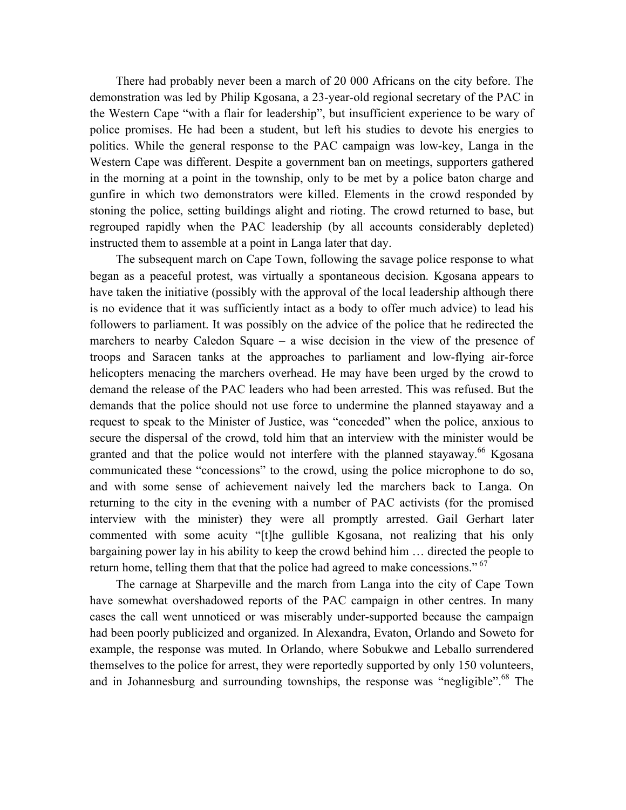There had probably never been a march of 20 000 Africans on the city before. The demonstration was led by Philip Kgosana, a 23-year-old regional secretary of the PAC in the Western Cape "with a flair for leadership", but insufficient experience to be wary of police promises. He had been a student, but left his studies to devote his energies to politics. While the general response to the PAC campaign was low-key, Langa in the Western Cape was different. Despite a government ban on meetings, supporters gathered in the morning at a point in the township, only to be met by a police baton charge and gunfire in which two demonstrators were killed. Elements in the crowd responded by stoning the police, setting buildings alight and rioting. The crowd returned to base, but regrouped rapidly when the PAC leadership (by all accounts considerably depleted) instructed them to assemble at a point in Langa later that day.

The subsequent march on Cape Town, following the savage police response to what began as a peaceful protest, was virtually a spontaneous decision. Kgosana appears to have taken the initiative (possibly with the approval of the local leadership although there is no evidence that it was sufficiently intact as a body to offer much advice) to lead his followers to parliament. It was possibly on the advice of the police that he redirected the marchers to nearby Caledon Square – a wise decision in the view of the presence of troops and Saracen tanks at the approaches to parliament and low-flying air-force helicopters menacing the marchers overhead. He may have been urged by the crowd to demand the release of the PAC leaders who had been arrested. This was refused. But the demands that the police should not use force to undermine the planned stayaway and a request to speak to the Minister of Justice, was "conceded" when the police, anxious to secure the dispersal of the crowd, told him that an interview with the minister would be granted and that the police would not interfere with the planned stayaway.<sup>66</sup> Kgosana communicated these "concessions" to the crowd, using the police microphone to do so, and with some sense of achievement naively led the marchers back to Langa. On returning to the city in the evening with a number of PAC activists (for the promised interview with the minister) they were all promptly arrested. Gail Gerhart later commented with some acuity "[t]he gullible Kgosana, not realizing that his only bargaining power lay in his ability to keep the crowd behind him … directed the people to return home, telling them that that the police had agreed to make concessions."<sup>67</sup>

The carnage at Sharpeville and the march from Langa into the city of Cape Town have somewhat overshadowed reports of the PAC campaign in other centres. In many cases the call went unnoticed or was miserably under-supported because the campaign had been poorly publicized and organized. In Alexandra, Evaton, Orlando and Soweto for example, the response was muted. In Orlando, where Sobukwe and Leballo surrendered themselves to the police for arrest, they were reportedly supported by only 150 volunteers, and in Johannesburg and surrounding townships, the response was "negligible".<sup>68</sup> The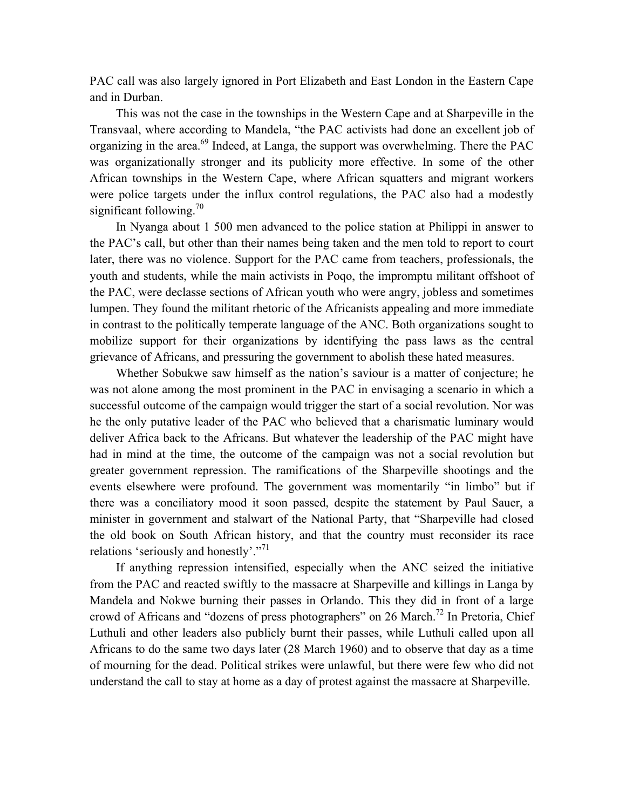PAC call was also largely ignored in Port Elizabeth and East London in the Eastern Cape and in Durban.

This was not the case in the townships in the Western Cape and at Sharpeville in the Transvaal, where according to Mandela, "the PAC activists had done an excellent job of organizing in the area.<sup>69</sup> Indeed, at Langa, the support was overwhelming. There the PAC was organizationally stronger and its publicity more effective. In some of the other African townships in the Western Cape, where African squatters and migrant workers were police targets under the influx control regulations, the PAC also had a modestly significant following.<sup>70</sup>

In Nyanga about 1 500 men advanced to the police station at Philippi in answer to the PAC's call, but other than their names being taken and the men told to report to court later, there was no violence. Support for the PAC came from teachers, professionals, the youth and students, while the main activists in Poqo, the impromptu militant offshoot of the PAC, were declasse sections of African youth who were angry, jobless and sometimes lumpen. They found the militant rhetoric of the Africanists appealing and more immediate in contrast to the politically temperate language of the ANC. Both organizations sought to mobilize support for their organizations by identifying the pass laws as the central grievance of Africans, and pressuring the government to abolish these hated measures.

Whether Sobukwe saw himself as the nation's saviour is a matter of conjecture; he was not alone among the most prominent in the PAC in envisaging a scenario in which a successful outcome of the campaign would trigger the start of a social revolution. Nor was he the only putative leader of the PAC who believed that a charismatic luminary would deliver Africa back to the Africans. But whatever the leadership of the PAC might have had in mind at the time, the outcome of the campaign was not a social revolution but greater government repression. The ramifications of the Sharpeville shootings and the events elsewhere were profound. The government was momentarily "in limbo" but if there was a conciliatory mood it soon passed, despite the statement by Paul Sauer, a minister in government and stalwart of the National Party, that "Sharpeville had closed the old book on South African history, and that the country must reconsider its race relations 'seriously and honestly'."<sup>71</sup>

If anything repression intensified, especially when the ANC seized the initiative from the PAC and reacted swiftly to the massacre at Sharpeville and killings in Langa by Mandela and Nokwe burning their passes in Orlando. This they did in front of a large crowd of Africans and "dozens of press photographers" on 26 March.<sup>72</sup> In Pretoria, Chief Luthuli and other leaders also publicly burnt their passes, while Luthuli called upon all Africans to do the same two days later (28 March 1960) and to observe that day as a time of mourning for the dead. Political strikes were unlawful, but there were few who did not understand the call to stay at home as a day of protest against the massacre at Sharpeville.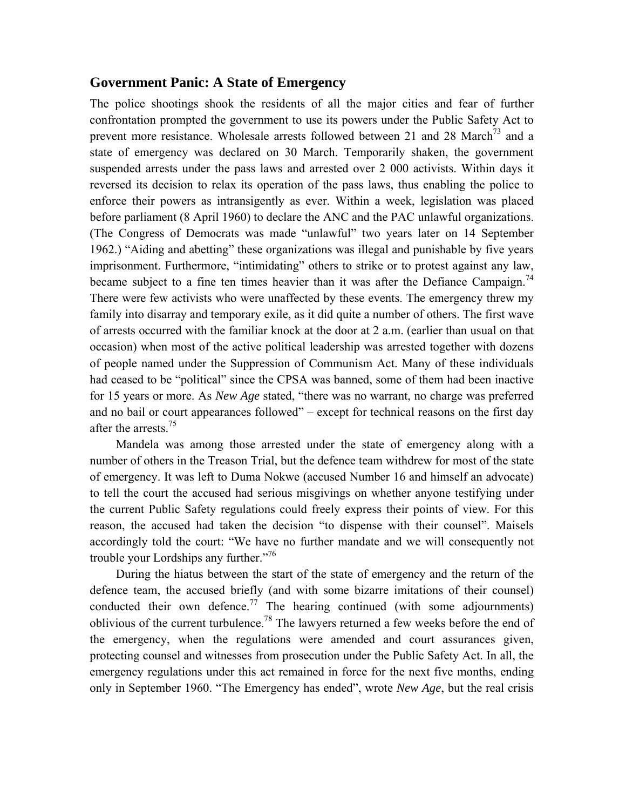### **Government Panic: A State of Emergency**

The police shootings shook the residents of all the major cities and fear of further confrontation prompted the government to use its powers under the Public Safety Act to prevent more resistance. Wholesale arrests followed between 21 and 28 March<sup>73</sup> and a state of emergency was declared on 30 March. Temporarily shaken, the government suspended arrests under the pass laws and arrested over 2 000 activists. Within days it reversed its decision to relax its operation of the pass laws, thus enabling the police to enforce their powers as intransigently as ever. Within a week, legislation was placed before parliament (8 April 1960) to declare the ANC and the PAC unlawful organizations. (The Congress of Democrats was made "unlawful" two years later on 14 September 1962.) "Aiding and abetting" these organizations was illegal and punishable by five years imprisonment. Furthermore, "intimidating" others to strike or to protest against any law, became subject to a fine ten times heavier than it was after the Defiance Campaign.<sup>74</sup> There were few activists who were unaffected by these events. The emergency threw my family into disarray and temporary exile, as it did quite a number of others. The first wave of arrests occurred with the familiar knock at the door at 2 a.m. (earlier than usual on that occasion) when most of the active political leadership was arrested together with dozens of people named under the Suppression of Communism Act. Many of these individuals had ceased to be "political" since the CPSA was banned, some of them had been inactive for 15 years or more. As *New Age* stated, "there was no warrant, no charge was preferred and no bail or court appearances followed" – except for technical reasons on the first day after the arrests.<sup>75</sup>

Mandela was among those arrested under the state of emergency along with a number of others in the Treason Trial, but the defence team withdrew for most of the state of emergency. It was left to Duma Nokwe (accused Number 16 and himself an advocate) to tell the court the accused had serious misgivings on whether anyone testifying under the current Public Safety regulations could freely express their points of view. For this reason, the accused had taken the decision "to dispense with their counsel". Maisels accordingly told the court: "We have no further mandate and we will consequently not trouble your Lordships any further."76

During the hiatus between the start of the state of emergency and the return of the defence team, the accused briefly (and with some bizarre imitations of their counsel) conducted their own defence.<sup>77</sup> The hearing continued (with some adjournments) oblivious of the current turbulence.78 The lawyers returned a few weeks before the end of the emergency, when the regulations were amended and court assurances given, protecting counsel and witnesses from prosecution under the Public Safety Act. In all, the emergency regulations under this act remained in force for the next five months, ending only in September 1960. "The Emergency has ended", wrote *New Age*, but the real crisis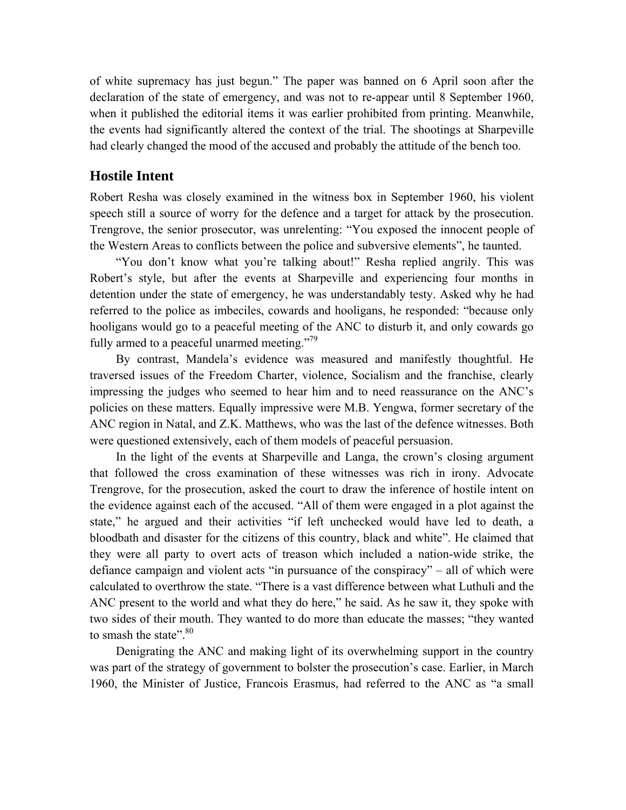of white supremacy has just begun." The paper was banned on 6 April soon after the declaration of the state of emergency, and was not to re-appear until 8 September 1960, when it published the editorial items it was earlier prohibited from printing. Meanwhile, the events had significantly altered the context of the trial. The shootings at Sharpeville had clearly changed the mood of the accused and probably the attitude of the bench too.

## **Hostile Intent**

Robert Resha was closely examined in the witness box in September 1960, his violent speech still a source of worry for the defence and a target for attack by the prosecution. Trengrove, the senior prosecutor, was unrelenting: "You exposed the innocent people of the Western Areas to conflicts between the police and subversive elements", he taunted.

"You don't know what you're talking about!" Resha replied angrily. This was Robert's style, but after the events at Sharpeville and experiencing four months in detention under the state of emergency, he was understandably testy. Asked why he had referred to the police as imbeciles, cowards and hooligans, he responded: "because only hooligans would go to a peaceful meeting of the ANC to disturb it, and only cowards go fully armed to a peaceful unarmed meeting. $179$ 

By contrast, Mandela's evidence was measured and manifestly thoughtful. He traversed issues of the Freedom Charter, violence, Socialism and the franchise, clearly impressing the judges who seemed to hear him and to need reassurance on the ANC's policies on these matters. Equally impressive were M.B. Yengwa, former secretary of the ANC region in Natal, and Z.K. Matthews, who was the last of the defence witnesses. Both were questioned extensively, each of them models of peaceful persuasion.

In the light of the events at Sharpeville and Langa, the crown's closing argument that followed the cross examination of these witnesses was rich in irony. Advocate Trengrove, for the prosecution, asked the court to draw the inference of hostile intent on the evidence against each of the accused. "All of them were engaged in a plot against the state," he argued and their activities "if left unchecked would have led to death, a bloodbath and disaster for the citizens of this country, black and white". He claimed that they were all party to overt acts of treason which included a nation-wide strike, the defiance campaign and violent acts "in pursuance of the conspiracy" – all of which were calculated to overthrow the state. "There is a vast difference between what Luthuli and the ANC present to the world and what they do here," he said. As he saw it, they spoke with two sides of their mouth. They wanted to do more than educate the masses; "they wanted to smash the state". $80$ 

Denigrating the ANC and making light of its overwhelming support in the country was part of the strategy of government to bolster the prosecution's case. Earlier, in March 1960, the Minister of Justice, Francois Erasmus, had referred to the ANC as "a small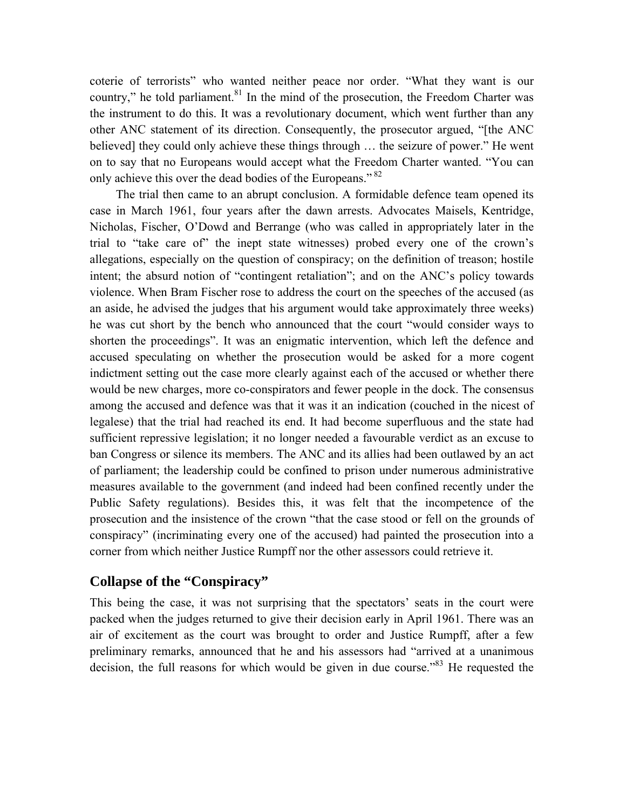coterie of terrorists" who wanted neither peace nor order. "What they want is our country," he told parliament. $81$  In the mind of the prosecution, the Freedom Charter was the instrument to do this. It was a revolutionary document, which went further than any other ANC statement of its direction. Consequently, the prosecutor argued, "[the ANC believed] they could only achieve these things through … the seizure of power." He went on to say that no Europeans would accept what the Freedom Charter wanted. "You can only achieve this over the dead bodies of the Europeans."<sup>82</sup>

The trial then came to an abrupt conclusion. A formidable defence team opened its case in March 1961, four years after the dawn arrests. Advocates Maisels, Kentridge, Nicholas, Fischer, O'Dowd and Berrange (who was called in appropriately later in the trial to "take care of" the inept state witnesses) probed every one of the crown's allegations, especially on the question of conspiracy; on the definition of treason; hostile intent; the absurd notion of "contingent retaliation"; and on the ANC's policy towards violence. When Bram Fischer rose to address the court on the speeches of the accused (as an aside, he advised the judges that his argument would take approximately three weeks) he was cut short by the bench who announced that the court "would consider ways to shorten the proceedings". It was an enigmatic intervention, which left the defence and accused speculating on whether the prosecution would be asked for a more cogent indictment setting out the case more clearly against each of the accused or whether there would be new charges, more co-conspirators and fewer people in the dock. The consensus among the accused and defence was that it was it an indication (couched in the nicest of legalese) that the trial had reached its end. It had become superfluous and the state had sufficient repressive legislation; it no longer needed a favourable verdict as an excuse to ban Congress or silence its members. The ANC and its allies had been outlawed by an act of parliament; the leadership could be confined to prison under numerous administrative measures available to the government (and indeed had been confined recently under the Public Safety regulations). Besides this, it was felt that the incompetence of the prosecution and the insistence of the crown "that the case stood or fell on the grounds of conspiracy" (incriminating every one of the accused) had painted the prosecution into a corner from which neither Justice Rumpff nor the other assessors could retrieve it.

# **Collapse of the "Conspiracy"**

This being the case, it was not surprising that the spectators' seats in the court were packed when the judges returned to give their decision early in April 1961. There was an air of excitement as the court was brought to order and Justice Rumpff, after a few preliminary remarks, announced that he and his assessors had "arrived at a unanimous decision, the full reasons for which would be given in due course."83 He requested the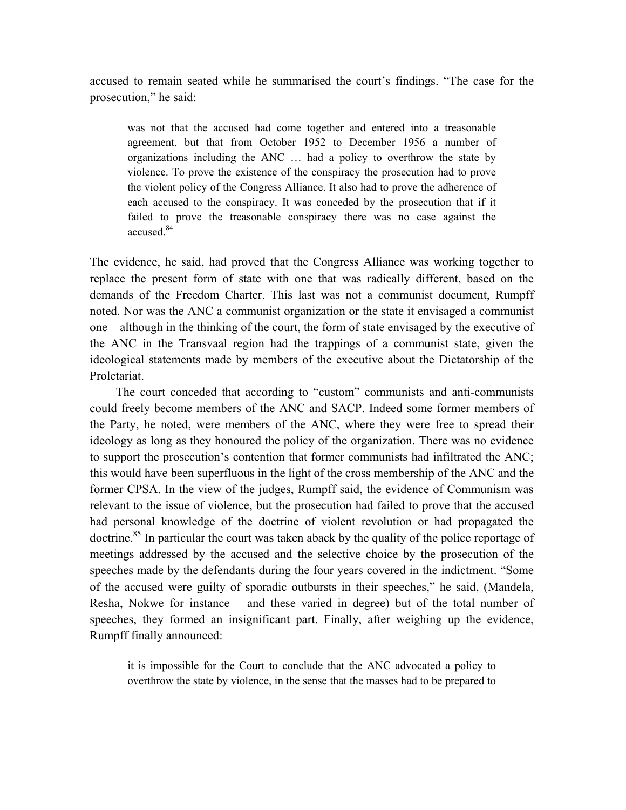accused to remain seated while he summarised the court's findings. "The case for the prosecution," he said:

was not that the accused had come together and entered into a treasonable agreement, but that from October 1952 to December 1956 a number of organizations including the ANC … had a policy to overthrow the state by violence. To prove the existence of the conspiracy the prosecution had to prove the violent policy of the Congress Alliance. It also had to prove the adherence of each accused to the conspiracy. It was conceded by the prosecution that if it failed to prove the treasonable conspiracy there was no case against the accused.<sup>84</sup>

The evidence, he said, had proved that the Congress Alliance was working together to replace the present form of state with one that was radically different, based on the demands of the Freedom Charter. This last was not a communist document, Rumpff noted. Nor was the ANC a communist organization or the state it envisaged a communist one – although in the thinking of the court, the form of state envisaged by the executive of the ANC in the Transvaal region had the trappings of a communist state, given the ideological statements made by members of the executive about the Dictatorship of the Proletariat.

The court conceded that according to "custom" communists and anti-communists could freely become members of the ANC and SACP. Indeed some former members of the Party, he noted, were members of the ANC, where they were free to spread their ideology as long as they honoured the policy of the organization. There was no evidence to support the prosecution's contention that former communists had infiltrated the ANC; this would have been superfluous in the light of the cross membership of the ANC and the former CPSA. In the view of the judges, Rumpff said, the evidence of Communism was relevant to the issue of violence, but the prosecution had failed to prove that the accused had personal knowledge of the doctrine of violent revolution or had propagated the doctrine.<sup>85</sup> In particular the court was taken aback by the quality of the police reportage of meetings addressed by the accused and the selective choice by the prosecution of the speeches made by the defendants during the four years covered in the indictment. "Some of the accused were guilty of sporadic outbursts in their speeches," he said, (Mandela, Resha, Nokwe for instance – and these varied in degree) but of the total number of speeches, they formed an insignificant part. Finally, after weighing up the evidence, Rumpff finally announced:

it is impossible for the Court to conclude that the ANC advocated a policy to overthrow the state by violence, in the sense that the masses had to be prepared to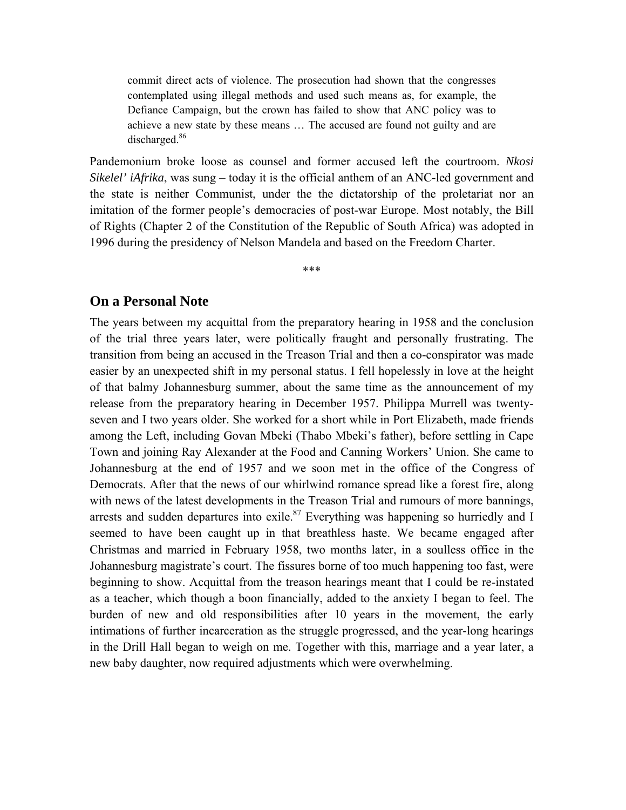commit direct acts of violence. The prosecution had shown that the congresses contemplated using illegal methods and used such means as, for example, the Defiance Campaign, but the crown has failed to show that ANC policy was to achieve a new state by these means … The accused are found not guilty and are discharged.<sup>86</sup>

Pandemonium broke loose as counsel and former accused left the courtroom. *Nkosi Sikelel' iAfrika*, was sung – today it is the official anthem of an ANC-led government and the state is neither Communist, under the the dictatorship of the proletariat nor an imitation of the former people's democracies of post-war Europe. Most notably, the Bill of Rights (Chapter 2 of the Constitution of the Republic of South Africa) was adopted in 1996 during the presidency of Nelson Mandela and based on the Freedom Charter.

\*\*\*

#### **On a Personal Note**

The years between my acquittal from the preparatory hearing in 1958 and the conclusion of the trial three years later, were politically fraught and personally frustrating. The transition from being an accused in the Treason Trial and then a co-conspirator was made easier by an unexpected shift in my personal status. I fell hopelessly in love at the height of that balmy Johannesburg summer, about the same time as the announcement of my release from the preparatory hearing in December 1957. Philippa Murrell was twentyseven and I two years older. She worked for a short while in Port Elizabeth, made friends among the Left, including Govan Mbeki (Thabo Mbeki's father), before settling in Cape Town and joining Ray Alexander at the Food and Canning Workers' Union. She came to Johannesburg at the end of 1957 and we soon met in the office of the Congress of Democrats. After that the news of our whirlwind romance spread like a forest fire, along with news of the latest developments in the Treason Trial and rumours of more bannings, arrests and sudden departures into exile.<sup>87</sup> Everything was happening so hurriedly and I seemed to have been caught up in that breathless haste. We became engaged after Christmas and married in February 1958, two months later, in a soulless office in the Johannesburg magistrate's court. The fissures borne of too much happening too fast, were beginning to show. Acquittal from the treason hearings meant that I could be re-instated as a teacher, which though a boon financially, added to the anxiety I began to feel. The burden of new and old responsibilities after 10 years in the movement, the early intimations of further incarceration as the struggle progressed, and the year-long hearings in the Drill Hall began to weigh on me. Together with this, marriage and a year later, a new baby daughter, now required adjustments which were overwhelming.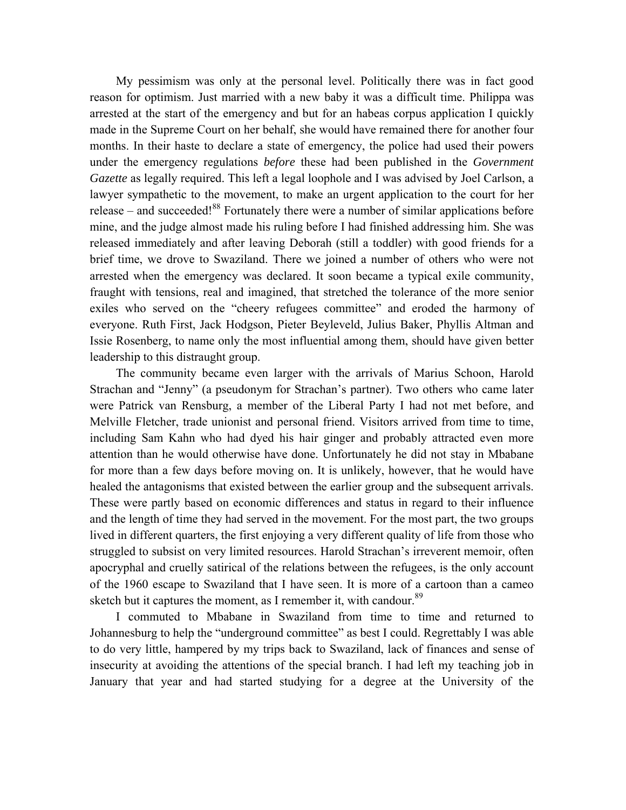My pessimism was only at the personal level. Politically there was in fact good reason for optimism. Just married with a new baby it was a difficult time. Philippa was arrested at the start of the emergency and but for an habeas corpus application I quickly made in the Supreme Court on her behalf, she would have remained there for another four months. In their haste to declare a state of emergency, the police had used their powers under the emergency regulations *before* these had been published in the *Government Gazette* as legally required. This left a legal loophole and I was advised by Joel Carlson, a lawyer sympathetic to the movement, to make an urgent application to the court for her release – and succeeded!<sup>88</sup> Fortunately there were a number of similar applications before mine, and the judge almost made his ruling before I had finished addressing him. She was released immediately and after leaving Deborah (still a toddler) with good friends for a brief time, we drove to Swaziland. There we joined a number of others who were not arrested when the emergency was declared. It soon became a typical exile community, fraught with tensions, real and imagined, that stretched the tolerance of the more senior exiles who served on the "cheery refugees committee" and eroded the harmony of everyone. Ruth First, Jack Hodgson, Pieter Beyleveld, Julius Baker, Phyllis Altman and Issie Rosenberg, to name only the most influential among them, should have given better leadership to this distraught group.

The community became even larger with the arrivals of Marius Schoon, Harold Strachan and "Jenny" (a pseudonym for Strachan's partner). Two others who came later were Patrick van Rensburg, a member of the Liberal Party I had not met before, and Melville Fletcher, trade unionist and personal friend. Visitors arrived from time to time, including Sam Kahn who had dyed his hair ginger and probably attracted even more attention than he would otherwise have done. Unfortunately he did not stay in Mbabane for more than a few days before moving on. It is unlikely, however, that he would have healed the antagonisms that existed between the earlier group and the subsequent arrivals. These were partly based on economic differences and status in regard to their influence and the length of time they had served in the movement. For the most part, the two groups lived in different quarters, the first enjoying a very different quality of life from those who struggled to subsist on very limited resources. Harold Strachan's irreverent memoir, often apocryphal and cruelly satirical of the relations between the refugees, is the only account of the 1960 escape to Swaziland that I have seen. It is more of a cartoon than a cameo sketch but it captures the moment, as I remember it, with candour. $89$ 

I commuted to Mbabane in Swaziland from time to time and returned to Johannesburg to help the "underground committee" as best I could. Regrettably I was able to do very little, hampered by my trips back to Swaziland, lack of finances and sense of insecurity at avoiding the attentions of the special branch. I had left my teaching job in January that year and had started studying for a degree at the University of the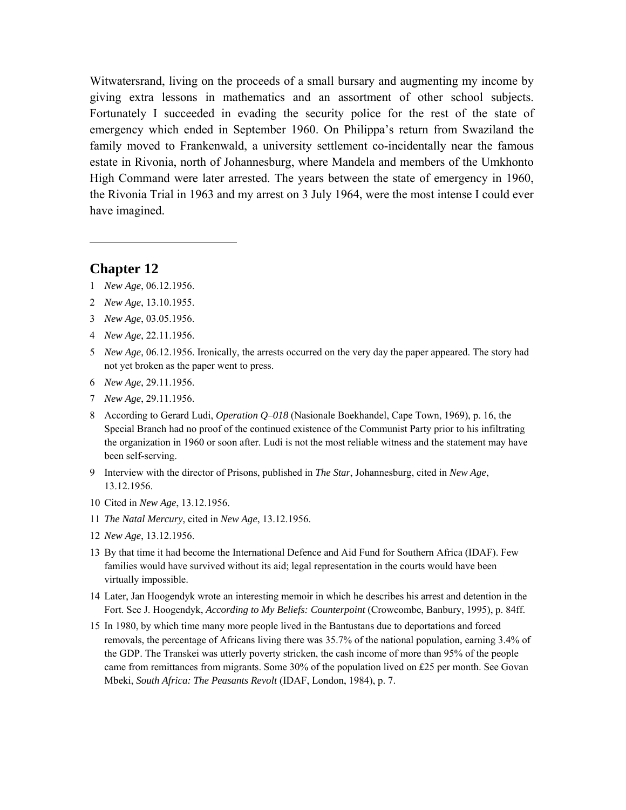Witwatersrand, living on the proceeds of a small bursary and augmenting my income by giving extra lessons in mathematics and an assortment of other school subjects. Fortunately I succeeded in evading the security police for the rest of the state of emergency which ended in September 1960. On Philippa's return from Swaziland the family moved to Frankenwald, a university settlement co-incidentally near the famous estate in Rivonia, north of Johannesburg, where Mandela and members of the Umkhonto High Command were later arrested. The years between the state of emergency in 1960, the Rivonia Trial in 1963 and my arrest on 3 July 1964, were the most intense I could ever have imagined.

#### **Chapter 12**

- 1 *New Age*, 06.12.1956.
- 2 *New Age*, 13.10.1955.
- 3 *New Age*, 03.05.1956.
- 4 *New Age*, 22.11.1956.
- 5 *New Age*, 06.12.1956. Ironically, the arrests occurred on the very day the paper appeared. The story had not yet broken as the paper went to press.
- 6 *New Age*, 29.11.1956.
- 7 *New Age*, 29.11.1956.
- 8 According to Gerard Ludi, *Operation Q–018* (Nasionale Boekhandel, Cape Town, 1969), p. 16, the Special Branch had no proof of the continued existence of the Communist Party prior to his infiltrating the organization in 1960 or soon after. Ludi is not the most reliable witness and the statement may have been self-serving.
- 9 Interview with the director of Prisons, published in *The Star*, Johannesburg, cited in *New Age*, 13.12.1956.
- 10 Cited in *New Age*, 13.12.1956.
- 11 *The Natal Mercury*, cited in *New Age*, 13.12.1956.
- 12 *New Age*, 13.12.1956.
- 13 By that time it had become the International Defence and Aid Fund for Southern Africa (IDAF). Few families would have survived without its aid; legal representation in the courts would have been virtually impossible.
- 14 Later, Jan Hoogendyk wrote an interesting memoir in which he describes his arrest and detention in the Fort. See J. Hoogendyk, *According to My Beliefs: Counterpoint* (Crowcombe, Banbury, 1995), p. 84ff.
- 15 In 1980, by which time many more people lived in the Bantustans due to deportations and forced removals, the percentage of Africans living there was 35.7% of the national population, earning 3.4% of the GDP. The Transkei was utterly poverty stricken, the cash income of more than 95% of the people came from remittances from migrants. Some 30% of the population lived on ₤25 per month. See Govan Mbeki, *South Africa: The Peasants Revolt* (IDAF, London, 1984), p. 7.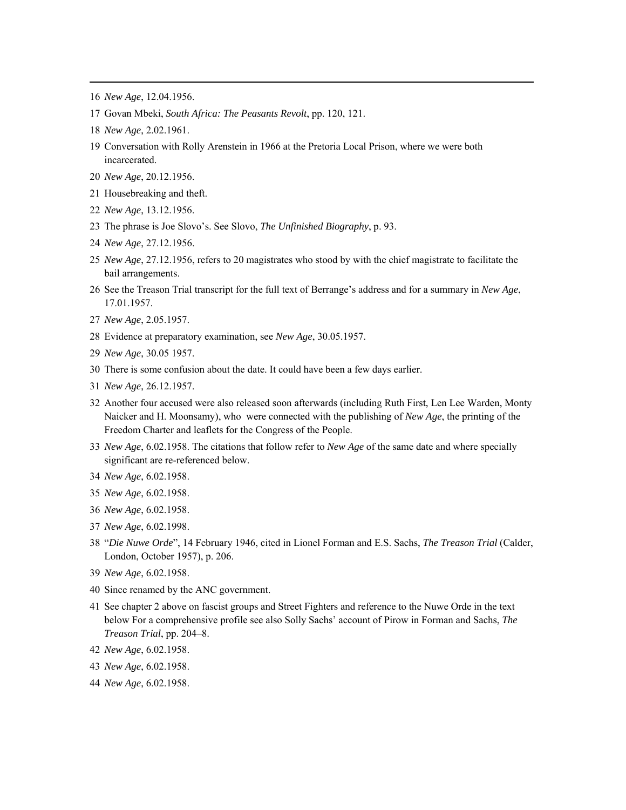16 *New Age*, 12.04.1956.

- 17 Govan Mbeki, *South Africa: The Peasants Revolt*, pp. 120, 121.
- 18 *New Age*, 2.02.1961.
- 19 Conversation with Rolly Arenstein in 1966 at the Pretoria Local Prison, where we were both incarcerated.
- 20 *New Age*, 20.12.1956.
- 21 Housebreaking and theft.
- 22 *New Age*, 13.12.1956.
- 23 The phrase is Joe Slovo's. See Slovo, *The Unfinished Biography*, p. 93.
- 24 *New Age*, 27.12.1956.
- 25 *New Age*, 27.12.1956, refers to 20 magistrates who stood by with the chief magistrate to facilitate the bail arrangements.
- 26 See the Treason Trial transcript for the full text of Berrange's address and for a summary in *New Age*, 17.01.1957.
- 27 *New Age*, 2.05.1957.
- 28 Evidence at preparatory examination, see *New Age*, 30.05.1957.
- 29 *New Age*, 30.05 1957.
- 30 There is some confusion about the date. It could have been a few days earlier.
- 31 *New Age*, 26.12.1957.
- 32 Another four accused were also released soon afterwards (including Ruth First, Len Lee Warden, Monty Naicker and H. Moonsamy), who were connected with the publishing of *New Age*, the printing of the Freedom Charter and leaflets for the Congress of the People.
- 33 *New Age*, 6.02.1958. The citations that follow refer to *New Age* of the same date and where specially significant are re-referenced below.
- 34 *New Age*, 6.02.1958.
- 35 *New Age*, 6.02.1958.
- 36 *New Age*, 6.02.1958.
- 37 *New Age*, 6.02.1998.
- 38 "*Die Nuwe Orde*", 14 February 1946, cited in Lionel Forman and E.S. Sachs, *The Treason Trial* (Calder, London, October 1957), p. 206.
- 39 *New Age*, 6.02.1958.
- 40 Since renamed by the ANC government.
- 41 See chapter 2 above on fascist groups and Street Fighters and reference to the Nuwe Orde in the text below For a comprehensive profile see also Solly Sachs' account of Pirow in Forman and Sachs, *The Treason Trial*, pp. 204–8.
- 42 *New Age*, 6.02.1958.
- 43 *New Age*, 6.02.1958.
- 44 *New Age*, 6.02.1958.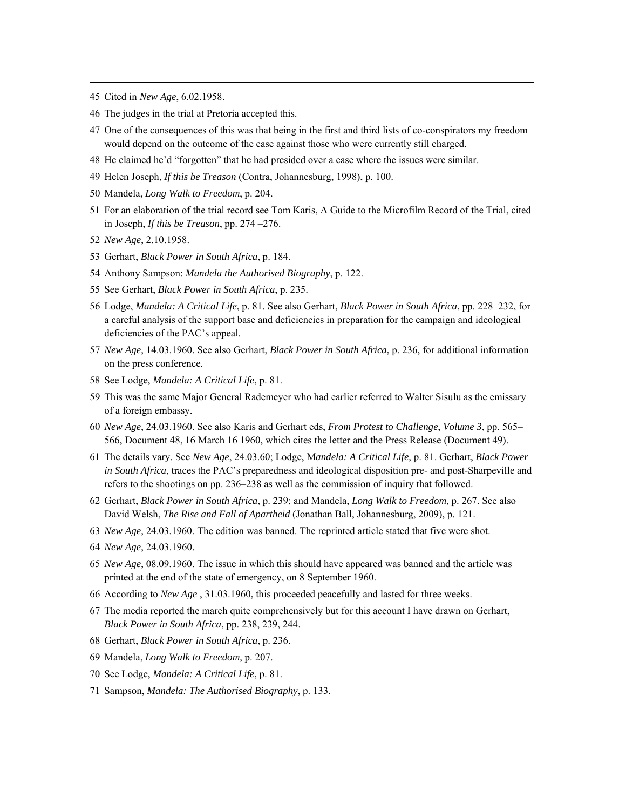45 Cited in *New Age*, 6.02.1958.

- 46 The judges in the trial at Pretoria accepted this.
- 47 One of the consequences of this was that being in the first and third lists of co-conspirators my freedom would depend on the outcome of the case against those who were currently still charged.
- 48 He claimed he'd "forgotten" that he had presided over a case where the issues were similar.
- 49 Helen Joseph, *If this be Treason* (Contra, Johannesburg, 1998), p. 100.
- 50 Mandela, *Long Walk to Freedom*, p. 204.
- 51 For an elaboration of the trial record see Tom Karis, A Guide to the Microfilm Record of the Trial, cited in Joseph, *If this be Treason*, pp. 274 –276.
- 52 *New Age*, 2.10.1958.
- 53 Gerhart, *Black Power in South Africa*, p. 184.
- 54 Anthony Sampson: *Mandela the Authorised Biography*, p. 122.
- 55 See Gerhart, *Black Power in South Africa*, p. 235.
- 56 Lodge, *Mandela: A Critical Life*, p. 81. See also Gerhart, *Black Power in South Africa*, pp. 228–232, for a careful analysis of the support base and deficiencies in preparation for the campaign and ideological deficiencies of the PAC's appeal.
- 57 *New Age*, 14.03.1960. See also Gerhart, *Black Power in South Africa*, p. 236, for additional information on the press conference.
- 58 See Lodge, *Mandela: A Critical Life*, p. 81.
- 59 This was the same Major General Rademeyer who had earlier referred to Walter Sisulu as the emissary of a foreign embassy.
- 60 *New Age*, 24.03.1960. See also Karis and Gerhart eds, *From Protest to Challenge*, *Volume 3*, pp. 565– 566, Document 48, 16 March 16 1960, which cites the letter and the Press Release (Document 49).
- 61 The details vary. See *New Age*, 24.03.60; Lodge, M*andela: A Critical Life*, p. 81. Gerhart, *Black Power in South Africa*, traces the PAC's preparedness and ideological disposition pre- and post-Sharpeville and refers to the shootings on pp. 236–238 as well as the commission of inquiry that followed.
- 62 Gerhart, *Black Power in South Africa*, p. 239; and Mandela, *Long Walk to Freedom*, p. 267. See also David Welsh, *The Rise and Fall of Apartheid* (Jonathan Ball, Johannesburg, 2009), p. 121.
- 63 *New Age*, 24.03.1960. The edition was banned. The reprinted article stated that five were shot.
- 64 *New Age*, 24.03.1960.
- 65 *New Age*, 08.09.1960. The issue in which this should have appeared was banned and the article was printed at the end of the state of emergency, on 8 September 1960.
- 66 According to *New Age* , 31.03.1960, this proceeded peacefully and lasted for three weeks.
- 67 The media reported the march quite comprehensively but for this account I have drawn on Gerhart, *Black Power in South Africa*, pp. 238, 239, 244.
- 68 Gerhart, *Black Power in South Africa*, p. 236.
- 69 Mandela, *Long Walk to Freedom*, p. 207.
- 70 See Lodge, *Mandela: A Critical Life*, p. 81.
- 71 Sampson, *Mandela: The Authorised Biography*, p. 133.